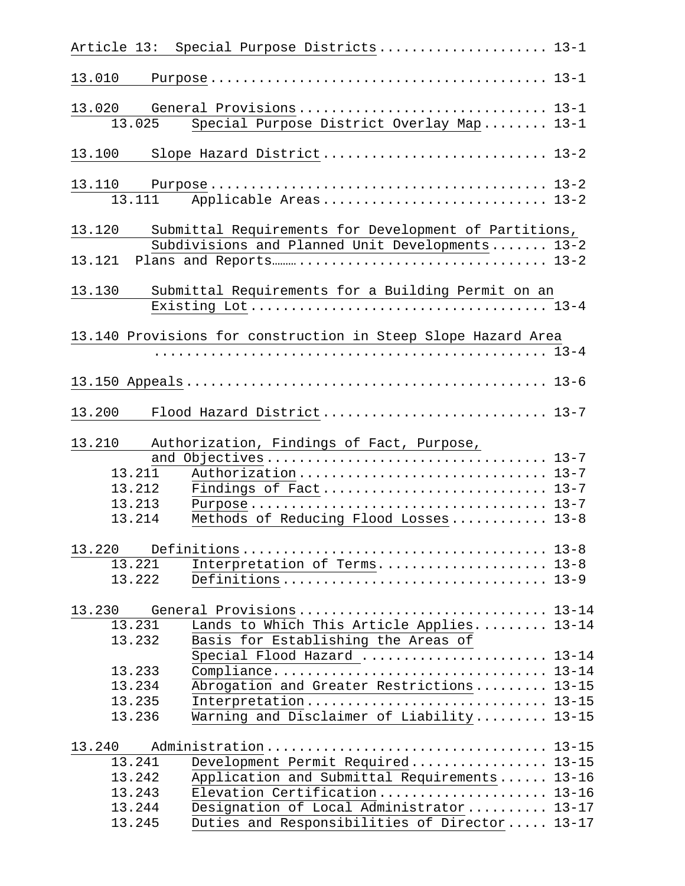|        | Article 13: Special Purpose Districts 13-1                    |
|--------|---------------------------------------------------------------|
| 13.010 |                                                               |
|        | 13.020 General Provisions 13-1                                |
| 13.025 | Special Purpose District Overlay Map 13-1                     |
| 13.100 | Slope Hazard District 13-2                                    |
|        | 13.111 Applicable Areas 13-2                                  |
| 13.120 | Submittal Requirements for Development of Partitions,         |
| 13.121 | Subdivisions and Planned Unit Developments 13-2               |
| 13.130 | Submittal Requirements for a Building Permit on an            |
|        |                                                               |
|        | 13.140 Provisions for construction in Steep Slope Hazard Area |
|        |                                                               |
|        |                                                               |
| 13.200 | Flood Hazard District 13-7                                    |
|        | 13.210 Authorization, Findings of Fact, Purpose,              |
|        |                                                               |
| 13.211 | Authorization 13-7                                            |
| 13.212 | Findings of Fact 13-7                                         |
| 13.213 |                                                               |
| 13.214 | Methods of Reducing Flood Losses 13-8                         |
|        |                                                               |
| 13.221 | Interpretation of Terms 13-8                                  |
| 13.222 | Definitions 13-9                                              |
| 13.230 | General Provisions 13-14                                      |
| 13.231 | Lands to Which This Article Applies 13-14                     |
| 13.232 | Basis for Establishing the Areas of                           |
|        | Special Flood Hazard  13-14                                   |
| 13.233 | Compliance 13-14                                              |
| 13.234 | Abrogation and Greater Restrictions 13-15                     |
| 13.235 | Interpretation 13-15                                          |
| 13.236 | Warning and Disclaimer of Liability 13-15                     |
|        |                                                               |
|        |                                                               |
| 13.241 | Development Permit Required 13-15                             |
| 13.242 | Application and Submittal Requirements 13-16                  |
| 13.243 | Elevation Certification 13-16                                 |
| 13.244 | Designation of Local Administrator 13-17                      |
| 13.245 | Duties and Responsibilities of Director 13-17                 |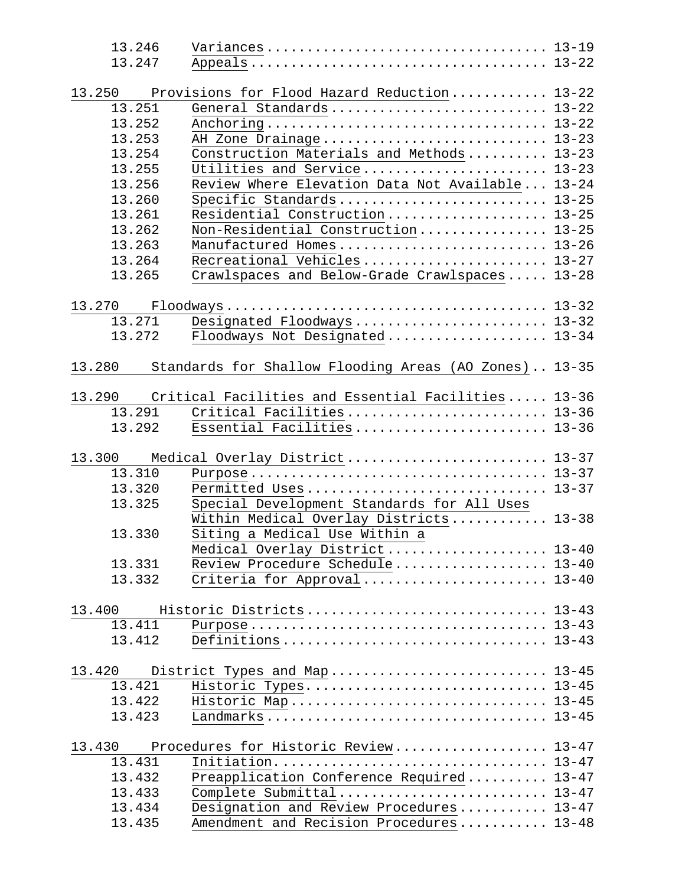|                  | Variances 13-19                                                                      |
|------------------|--------------------------------------------------------------------------------------|
| 13.247           |                                                                                      |
|                  |                                                                                      |
| 13.251           | 13.250 Provisions for Flood Hazard Reduction 13-22<br>General Standards 13-22        |
|                  |                                                                                      |
| 13.252           | Anchoring 13-22                                                                      |
| 13.253           | AH Zone Drainage 13-23                                                               |
| 13.254           | Construction Materials and Methods 13-23                                             |
| 13.255           | Utilities and Service 13-23                                                          |
| 13.256           | Review Where Elevation Data Not Available 13-24                                      |
| 13.260           | Specific Standards 13-25                                                             |
| 13.261           | Residential Construction 13-25                                                       |
| 13.262           | Non-Residential Construction 13-25                                                   |
| 13.263           | Manufactured Homes 13-26                                                             |
| 13.264           | Recreational Vehicles 13-27                                                          |
| 13.265           | Crawlspaces and Below-Grade Crawlspaces 13-28                                        |
|                  |                                                                                      |
| 13.271           | Designated Floodways 13-32                                                           |
| 13.272           | Floodways Not Designated 13-34                                                       |
|                  |                                                                                      |
| 13.280           | Standards for Shallow Flooding Areas (AO Zones) 13-35                                |
|                  | 13.290 Critical Facilities and Essential Facilities 13-36                            |
| 13.291           | Critical Facilities 13-36                                                            |
| 13.292           | Essential Facilities 13-36                                                           |
|                  |                                                                                      |
|                  | 13.300 Medical Overlay District 13-37                                                |
| 13.310           |                                                                                      |
|                  | Permitted Uses 13-37                                                                 |
| 13.320           |                                                                                      |
| 13.325           |                                                                                      |
|                  | Special Development Standards for All Uses<br>Within Medical Overlay Districts 13-38 |
| 13.330           | Siting a Medical Use Within a                                                        |
|                  |                                                                                      |
| 13.331           | Medical Overlay District 13-40                                                       |
| 13.332           | Review Procedure Schedule 13-40<br>Criteria for Approval 13-40                       |
|                  |                                                                                      |
| 13.400           |                                                                                      |
| 13.411           |                                                                                      |
| 13.412           | Definitions 13-43                                                                    |
|                  |                                                                                      |
| 13.420           | District Types and Map 13-45                                                         |
| 13.421           | Historic Types 13-45                                                                 |
| 13.422           | Historic Map 13-45                                                                   |
| 13.423           | Landmarks 13-45                                                                      |
| 13.430           | Procedures for Historic Review 13-47                                                 |
| 13.431           | Initiation.  13-47                                                                   |
| 13.432           | Preapplication Conference Required 13-47                                             |
| 13.433           | Complete Submittal 13-47                                                             |
| 13.434<br>13.435 | Designation and Review Procedures 13-47<br>Amendment and Recision Procedures 13-48   |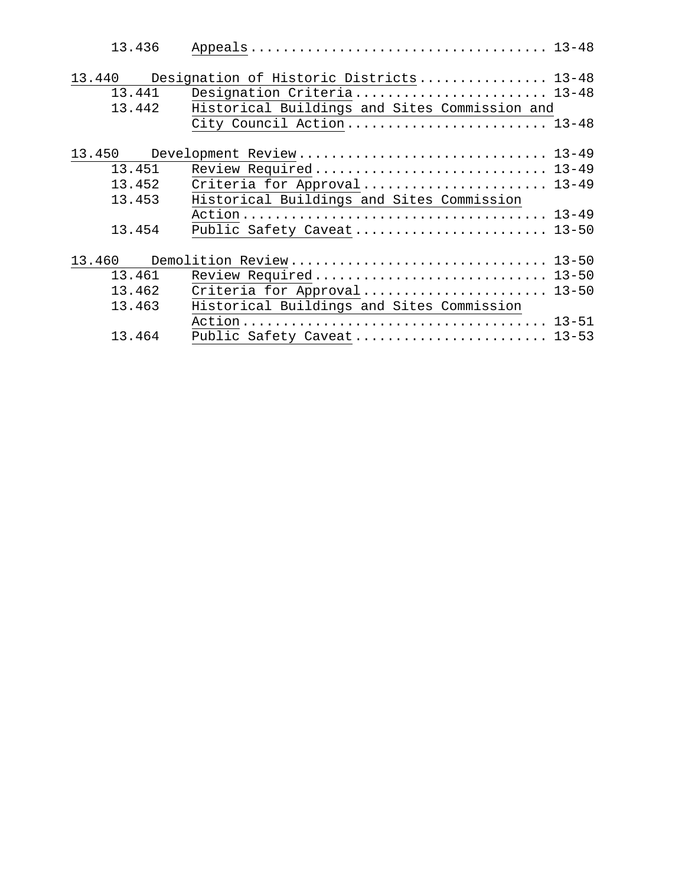| 13.436 |                                                |
|--------|------------------------------------------------|
|        | 13.440 Designation of Historic Districts 13-48 |
| 13.441 | Designation Criteria 13-48                     |
| 13.442 | Historical Buildings and Sites Commission and  |
|        | City Council Action 13-48                      |
| 13.450 |                                                |
| 13.451 | Review Required 13-49                          |
| 13.452 | Criteria for Approval 13-49                    |
| 13.453 | Historical Buildings and Sites Commission      |
|        |                                                |
| 13.454 | Public Safety Caveat 13-50                     |
|        |                                                |
|        |                                                |
| 13.461 | Review Required 13-50                          |
| 13.462 | Criteria for Approval 13-50                    |
| 13.463 | Historical Buildings and Sites Commission      |
|        |                                                |
| 13.464 | Public Safety Caveat 13-53                     |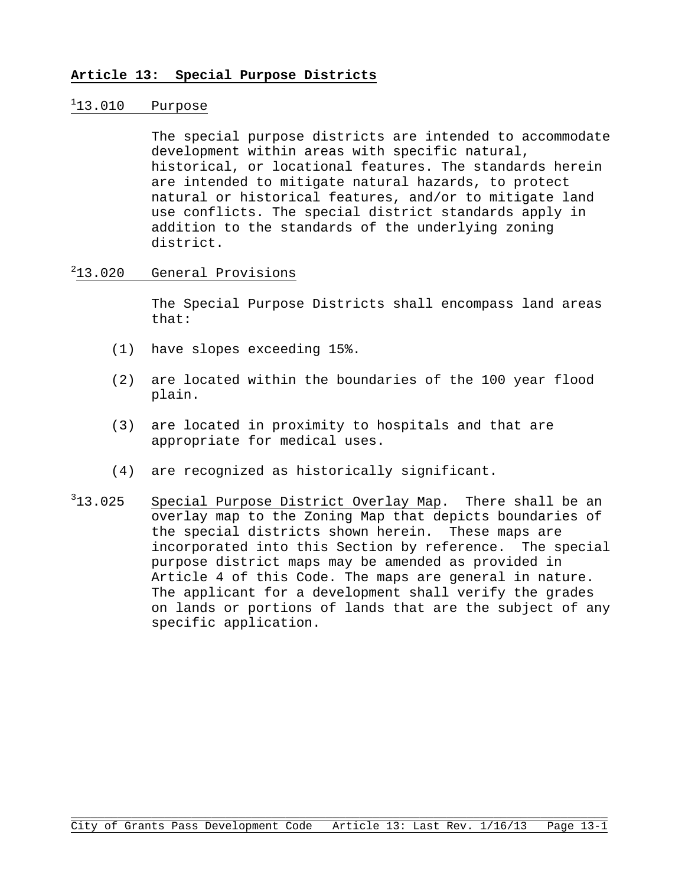#### **Article 13: Special Purpose Districts**

#### $113.010$ Purpose

The special purpose districts are intended to accommodate development within areas with specific natural, historical, or locational features. The standards herein are intended to mitigate natural hazards, to protect natural or historical features, and/or to mitigate land use conflicts. The special district standards apply in addition to the standards of the underlying zoning district.

#### $213.020$ General Provisions

The Special Purpose Districts shall encompass land areas that:

- (1) have slopes exceeding 15%.
- (2) are located within the boundaries of the 100 year flood plain.
- (3) are located in proximity to hospitals and that are appropriate for medical uses.
- (4) are recognized as historically significant.
- $313.025$ Special Purpose District Overlay Map. There shall be an overlay map to the Zoning Map that depicts boundaries of the special districts shown herein. These maps are incorporated into this Section by reference. The special purpose district maps may be amended as provided in Article 4 of this Code. The maps are general in nature. The applicant for a development shall verify the grades on lands or portions of lands that are the subject of any specific application.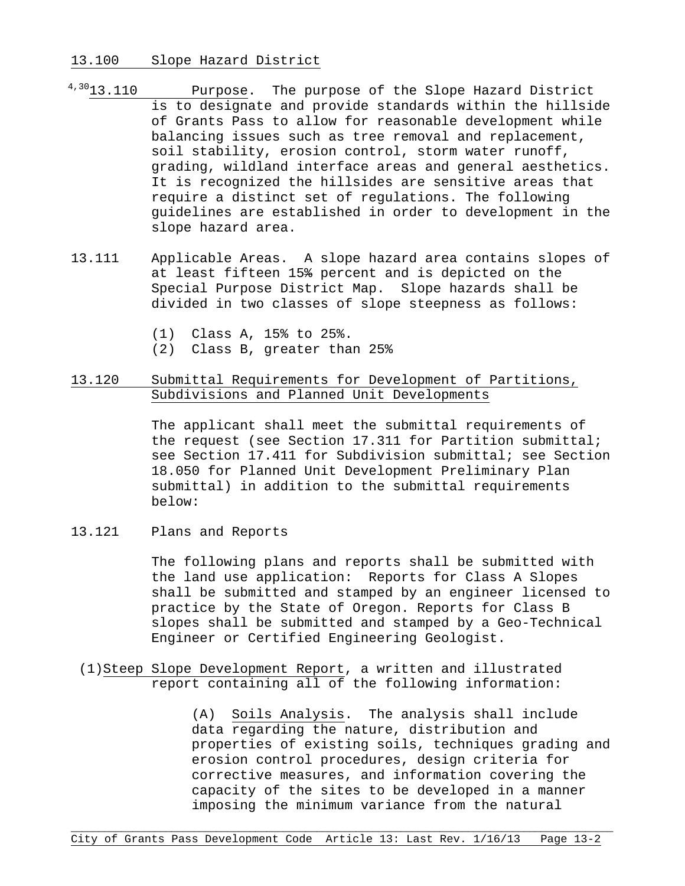#### 13.100 Slope Hazard District

- <sup>4,30</sup>13.110 Purpose. The purpose of the Slope Hazard District is to designate and provide standards within the hillside of Grants Pass to allow for reasonable development while balancing issues such as tree removal and replacement, soil stability, erosion control, storm water runoff, grading, wildland interface areas and general aesthetics. It is recognized the hillsides are sensitive areas that require a distinct set of regulations. The following guidelines are established in order to development in the slope hazard area.
- 13.111 Applicable Areas. A slope hazard area contains slopes of at least fifteen 15% percent and is depicted on the Special Purpose District Map. Slope hazards shall be divided in two classes of slope steepness as follows:
	- (1) Class A, 15% to 25%.
	- (2) Class B, greater than 25%

# 13.120 Submittal Requirements for Development of Partitions, Subdivisions and Planned Unit Developments

The applicant shall meet the submittal requirements of the request (see Section 17.311 for Partition submittal; see Section 17.411 for Subdivision submittal; see Section 18.050 for Planned Unit Development Preliminary Plan submittal) in addition to the submittal requirements below:

13.121 Plans and Reports

 The following plans and reports shall be submitted with the land use application: Reports for Class A Slopes shall be submitted and stamped by an engineer licensed to practice by the State of Oregon. Reports for Class B slopes shall be submitted and stamped by a Geo-Technical Engineer or Certified Engineering Geologist.

 (1)Steep Slope Development Report, a written and illustrated report containing all of the following information:

> (A) Soils Analysis. The analysis shall include data regarding the nature, distribution and properties of existing soils, techniques grading and erosion control procedures, design criteria for corrective measures, and information covering the capacity of the sites to be developed in a manner imposing the minimum variance from the natural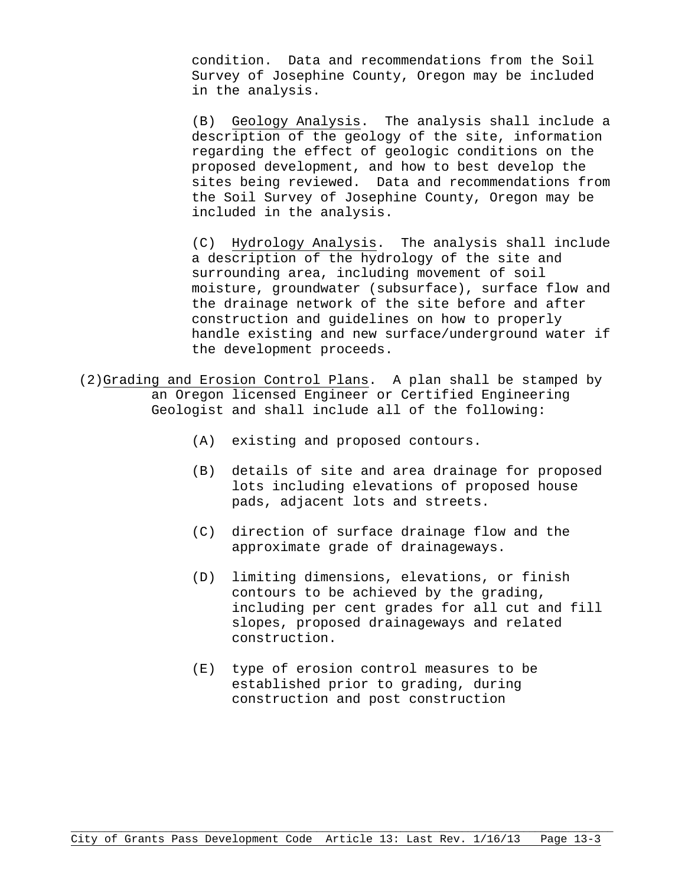condition. Data and recommendations from the Soil Survey of Josephine County, Oregon may be included in the analysis.

 (B) Geology Analysis. The analysis shall include a description of the geology of the site, information regarding the effect of geologic conditions on the proposed development, and how to best develop the sites being reviewed. Data and recommendations from the Soil Survey of Josephine County, Oregon may be included in the analysis.

 (C) Hydrology Analysis. The analysis shall include a description of the hydrology of the site and surrounding area, including movement of soil moisture, groundwater (subsurface), surface flow and the drainage network of the site before and after construction and guidelines on how to properly handle existing and new surface/underground water if the development proceeds.

- (2)Grading and Erosion Control Plans. A plan shall be stamped by an Oregon licensed Engineer or Certified Engineering Geologist and shall include all of the following:
	- (A) existing and proposed contours.
	- (B) details of site and area drainage for proposed lots including elevations of proposed house pads, adjacent lots and streets.
	- (C) direction of surface drainage flow and the approximate grade of drainageways.
	- (D) limiting dimensions, elevations, or finish contours to be achieved by the grading, including per cent grades for all cut and fill slopes, proposed drainageways and related construction.
	- (E) type of erosion control measures to be established prior to grading, during construction and post construction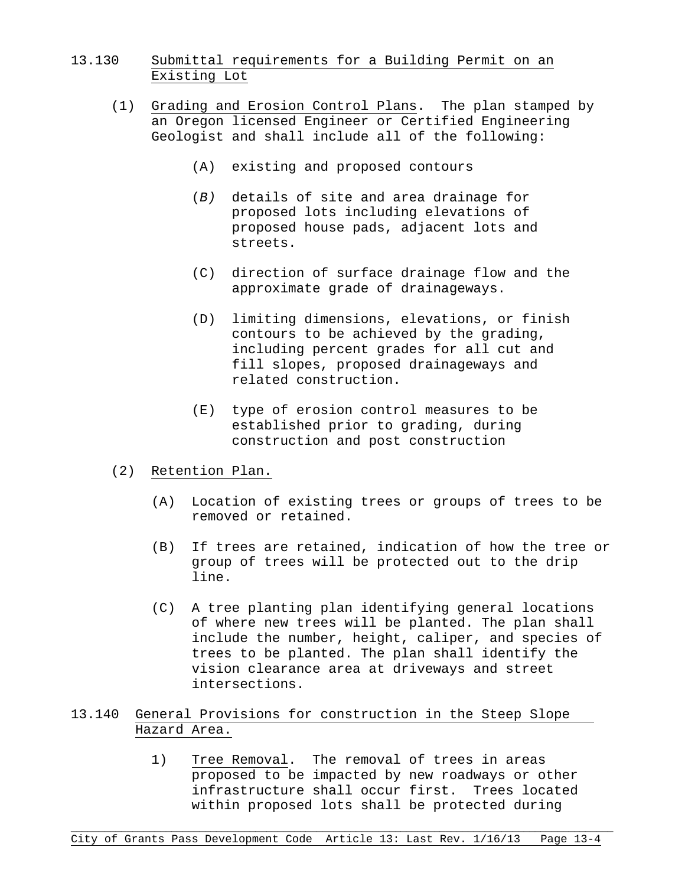- 13.130 Submittal requirements for a Building Permit on an Existing Lot
	- (1) Grading and Erosion Control Plans. The plan stamped by an Oregon licensed Engineer or Certified Engineering Geologist and shall include all of the following:
		- (A) existing and proposed contours
		- (*B)* details of site and area drainage for proposed lots including elevations of proposed house pads, adjacent lots and streets.
		- (C) direction of surface drainage flow and the approximate grade of drainageways.
		- (D) limiting dimensions, elevations, or finish contours to be achieved by the grading, including percent grades for all cut and fill slopes, proposed drainageways and related construction.
		- (E) type of erosion control measures to be established prior to grading, during construction and post construction

# (2) Retention Plan.

- (A) Location of existing trees or groups of trees to be removed or retained.
- (B) If trees are retained, indication of how the tree or group of trees will be protected out to the drip line.
- (C) A tree planting plan identifying general locations of where new trees will be planted. The plan shall include the number, height, caliper, and species of trees to be planted. The plan shall identify the vision clearance area at driveways and street intersections.

# 13.140 General Provisions for construction in the Steep Slope Hazard Area.

 1) Tree Removal. The removal of trees in areas proposed to be impacted by new roadways or other infrastructure shall occur first. Trees located within proposed lots shall be protected during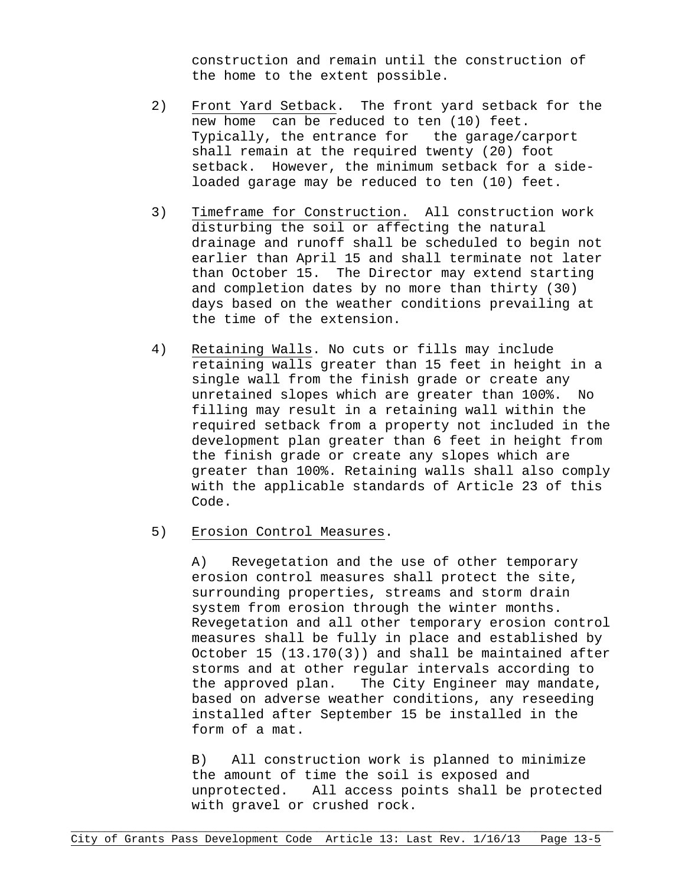construction and remain until the construction of the home to the extent possible.

- 2) Front Yard Setback. The front yard setback for the new home can be reduced to ten (10) feet. Typically, the entrance for the garage/carport shall remain at the required twenty (20) foot setback. However, the minimum setback for a sideloaded garage may be reduced to ten (10) feet.
- 3) Timeframe for Construction.All construction work disturbing the soil or affecting the natural drainage and runoff shall be scheduled to begin not earlier than April 15 and shall terminate not later than October 15. The Director may extend starting and completion dates by no more than thirty (30) days based on the weather conditions prevailing at the time of the extension.
- 4) Retaining Walls. No cuts or fills may include retaining walls greater than 15 feet in height in a single wall from the finish grade or create any unretained slopes which are greater than 100%. No filling may result in a retaining wall within the required setback from a property not included in the development plan greater than 6 feet in height from the finish grade or create any slopes which are greater than 100%. Retaining walls shall also comply with the applicable standards of Article 23 of this Code.
- 5) Erosion Control Measures.

 A) Revegetation and the use of other temporary erosion control measures shall protect the site, surrounding properties, streams and storm drain system from erosion through the winter months. Revegetation and all other temporary erosion control measures shall be fully in place and established by October 15 (13.170(3)) and shall be maintained after storms and at other regular intervals according to the approved plan. The City Engineer may mandate, based on adverse weather conditions, any reseeding installed after September 15 be installed in the form of a mat.

 B) All construction work is planned to minimize the amount of time the soil is exposed and unprotected. All access points shall be protected with gravel or crushed rock.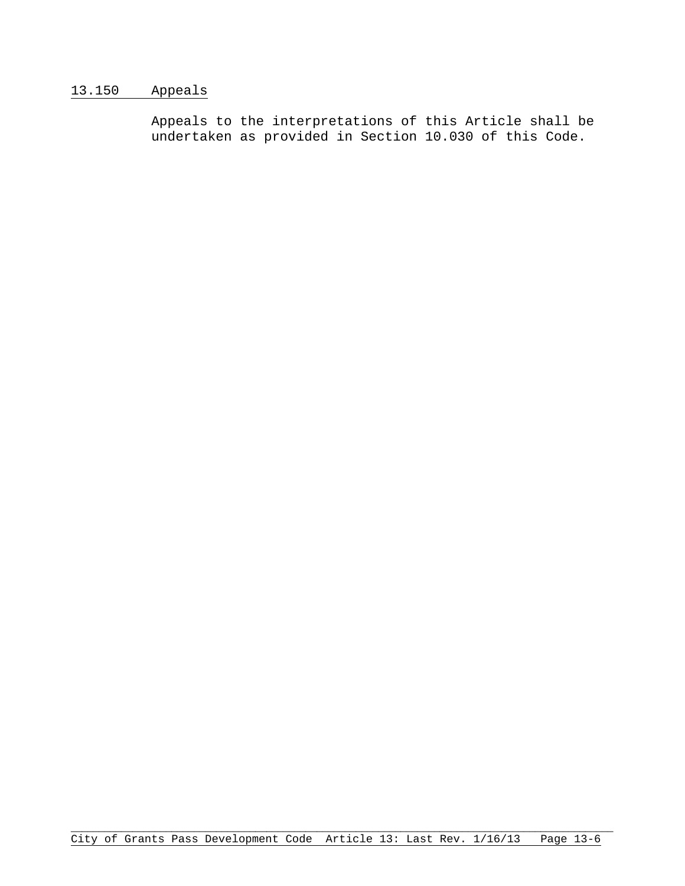# 13.150 Appeals

Appeals to the interpretations of this Article shall be undertaken as provided in Section 10.030 of this Code.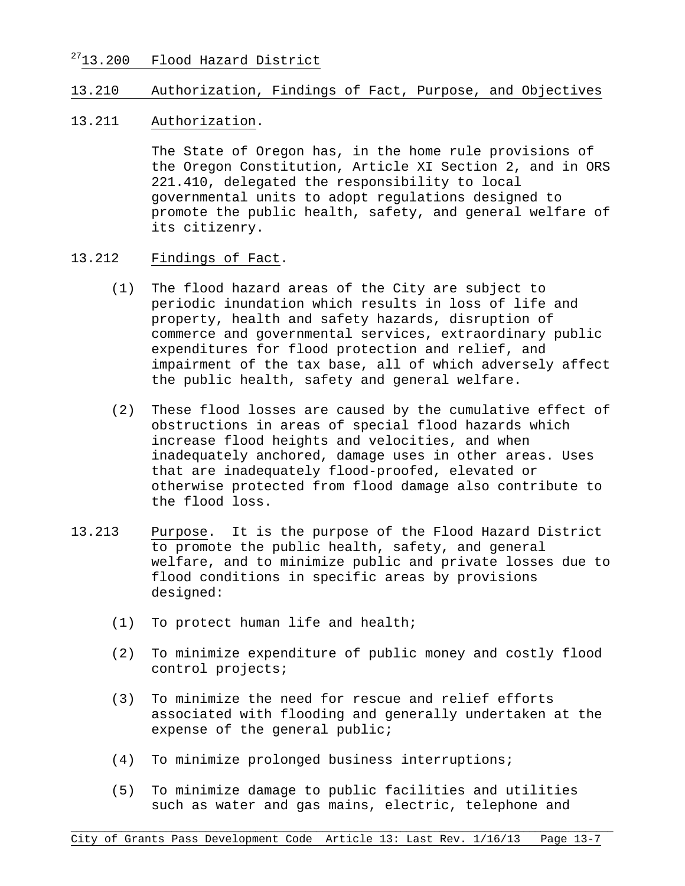# 2713.200 Flood Hazard District

## 13.210 Authorization, Findings of Fact, Purpose, and Objectives

#### 13.211 Authorization.

The State of Oregon has, in the home rule provisions of the Oregon Constitution, Article XI Section 2, and in ORS 221.410, delegated the responsibility to local governmental units to adopt regulations designed to promote the public health, safety, and general welfare of its citizenry.

## 13.212 Findings of Fact.

- (1) The flood hazard areas of the City are subject to periodic inundation which results in loss of life and property, health and safety hazards, disruption of commerce and governmental services, extraordinary public expenditures for flood protection and relief, and impairment of the tax base, all of which adversely affect the public health, safety and general welfare.
- (2) These flood losses are caused by the cumulative effect of obstructions in areas of special flood hazards which increase flood heights and velocities, and when inadequately anchored, damage uses in other areas. Uses that are inadequately flood-proofed, elevated or otherwise protected from flood damage also contribute to the flood loss.
- 13.213 Purpose. It is the purpose of the Flood Hazard District to promote the public health, safety, and general welfare, and to minimize public and private losses due to flood conditions in specific areas by provisions designed:
	- (1) To protect human life and health;
	- (2) To minimize expenditure of public money and costly flood control projects;
	- (3) To minimize the need for rescue and relief efforts associated with flooding and generally undertaken at the expense of the general public;
	- (4) To minimize prolonged business interruptions;
	- (5) To minimize damage to public facilities and utilities such as water and gas mains, electric, telephone and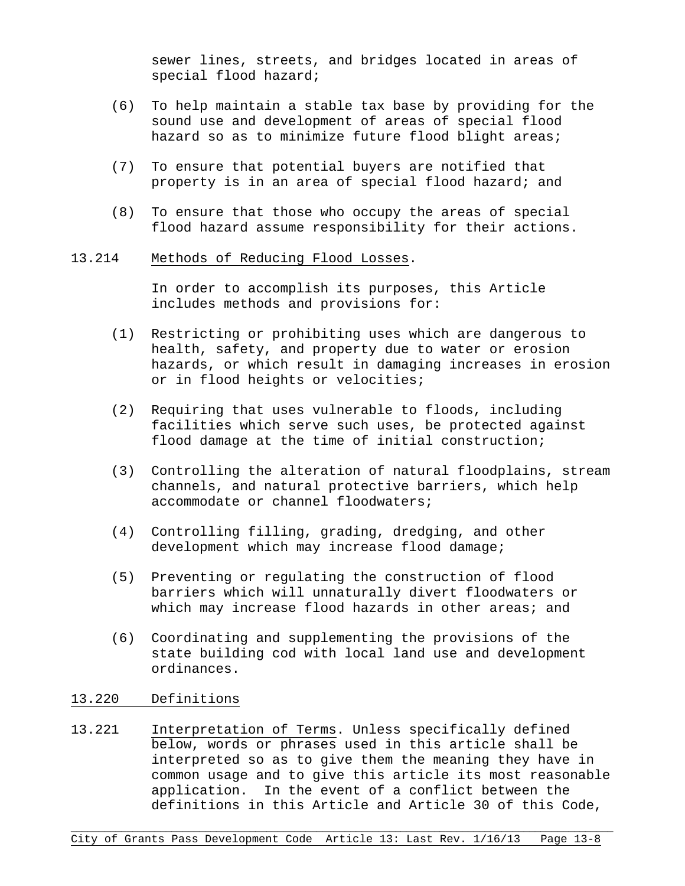sewer lines, streets, and bridges located in areas of special flood hazard;

- (6) To help maintain a stable tax base by providing for the sound use and development of areas of special flood hazard so as to minimize future flood blight areas;
- (7) To ensure that potential buyers are notified that property is in an area of special flood hazard; and
- (8) To ensure that those who occupy the areas of special flood hazard assume responsibility for their actions.

#### 13.214 Methods of Reducing Flood Losses.

In order to accomplish its purposes, this Article includes methods and provisions for:

- (1) Restricting or prohibiting uses which are dangerous to health, safety, and property due to water or erosion hazards, or which result in damaging increases in erosion or in flood heights or velocities;
- (2) Requiring that uses vulnerable to floods, including facilities which serve such uses, be protected against flood damage at the time of initial construction;
- (3) Controlling the alteration of natural floodplains, stream channels, and natural protective barriers, which help accommodate or channel floodwaters;
- (4) Controlling filling, grading, dredging, and other development which may increase flood damage;
- (5) Preventing or regulating the construction of flood barriers which will unnaturally divert floodwaters or which may increase flood hazards in other areas; and
- (6) Coordinating and supplementing the provisions of the state building cod with local land use and development ordinances.

#### 13.220 Definitions

13.221 Interpretation of Terms. Unless specifically defined below, words or phrases used in this article shall be interpreted so as to give them the meaning they have in common usage and to give this article its most reasonable application. In the event of a conflict between the definitions in this Article and Article 30 of this Code,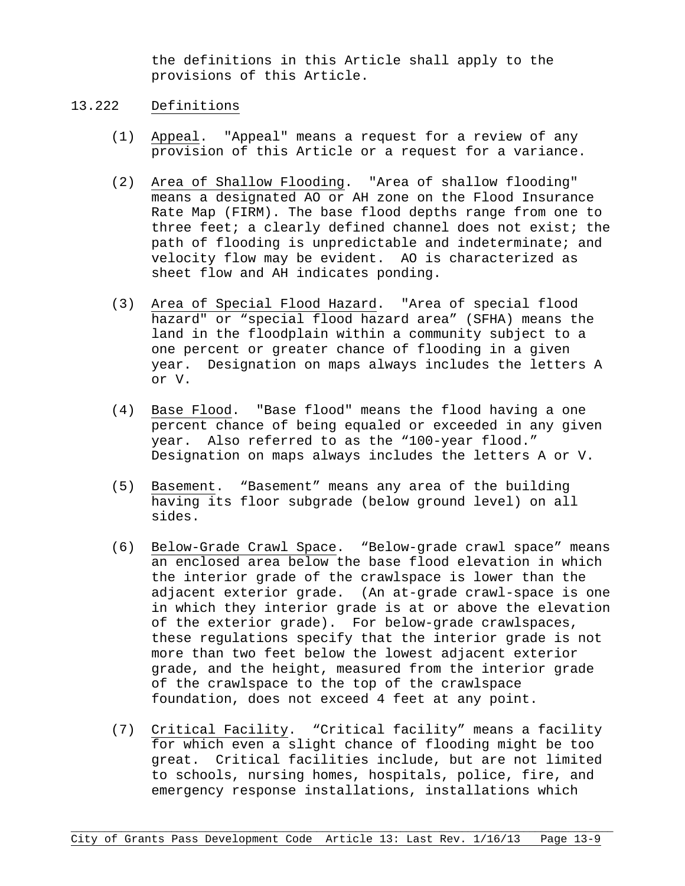the definitions in this Article shall apply to the provisions of this Article.

# 13.222 Definitions

- (1) Appeal. "Appeal" means a request for a review of any provision of this Article or a request for a variance.
- (2) Area of Shallow Flooding. "Area of shallow flooding" means a designated AO or AH zone on the Flood Insurance Rate Map (FIRM). The base flood depths range from one to three feet; a clearly defined channel does not exist; the path of flooding is unpredictable and indeterminate; and velocity flow may be evident. AO is characterized as sheet flow and AH indicates ponding.
- (3) Area of Special Flood Hazard. "Area of special flood hazard" or "special flood hazard area" (SFHA) means the land in the floodplain within a community subject to a one percent or greater chance of flooding in a given year. Designation on maps always includes the letters A or V.
- (4) Base Flood. "Base flood" means the flood having a one percent chance of being equaled or exceeded in any given year. Also referred to as the "100-year flood." Designation on maps always includes the letters A or V.
- (5) Basement. "Basement" means any area of the building having its floor subgrade (below ground level) on all sides.
- (6) Below-Grade Crawl Space. "Below-grade crawl space" means an enclosed area below the base flood elevation in which the interior grade of the crawlspace is lower than the adjacent exterior grade. (An at-grade crawl-space is one in which they interior grade is at or above the elevation of the exterior grade). For below-grade crawlspaces, these regulations specify that the interior grade is not more than two feet below the lowest adjacent exterior grade, and the height, measured from the interior grade of the crawlspace to the top of the crawlspace foundation, does not exceed 4 feet at any point.
- (7) Critical Facility. "Critical facility" means a facility for which even a slight chance of flooding might be too great. Critical facilities include, but are not limited to schools, nursing homes, hospitals, police, fire, and emergency response installations, installations which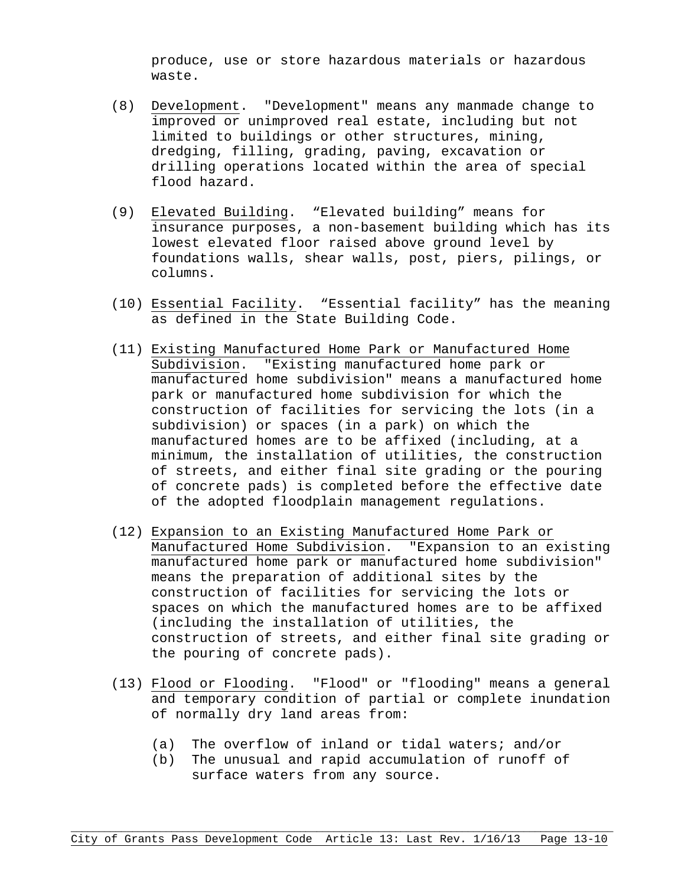produce, use or store hazardous materials or hazardous waste.

- (8) Development. "Development" means any manmade change to improved or unimproved real estate, including but not limited to buildings or other structures, mining, dredging, filling, grading, paving, excavation or drilling operations located within the area of special flood hazard.
- (9) Elevated Building. "Elevated building" means for insurance purposes, a non-basement building which has its lowest elevated floor raised above ground level by foundations walls, shear walls, post, piers, pilings, or columns.
- (10) Essential Facility. "Essential facility" has the meaning as defined in the State Building Code.
- (11) Existing Manufactured Home Park or Manufactured Home Subdivision. "Existing manufactured home park or manufactured home subdivision" means a manufactured home park or manufactured home subdivision for which the construction of facilities for servicing the lots (in a subdivision) or spaces (in a park) on which the manufactured homes are to be affixed (including, at a minimum, the installation of utilities, the construction of streets, and either final site grading or the pouring of concrete pads) is completed before the effective date of the adopted floodplain management regulations.
- (12) Expansion to an Existing Manufactured Home Park or Manufactured Home Subdivision. "Expansion to an existing manufactured home park or manufactured home subdivision" means the preparation of additional sites by the construction of facilities for servicing the lots or spaces on which the manufactured homes are to be affixed (including the installation of utilities, the construction of streets, and either final site grading or the pouring of concrete pads).
- (13) Flood or Flooding. "Flood" or "flooding" means a general and temporary condition of partial or complete inundation of normally dry land areas from:
	- (a) The overflow of inland or tidal waters; and/or
	- (b) The unusual and rapid accumulation of runoff of surface waters from any source.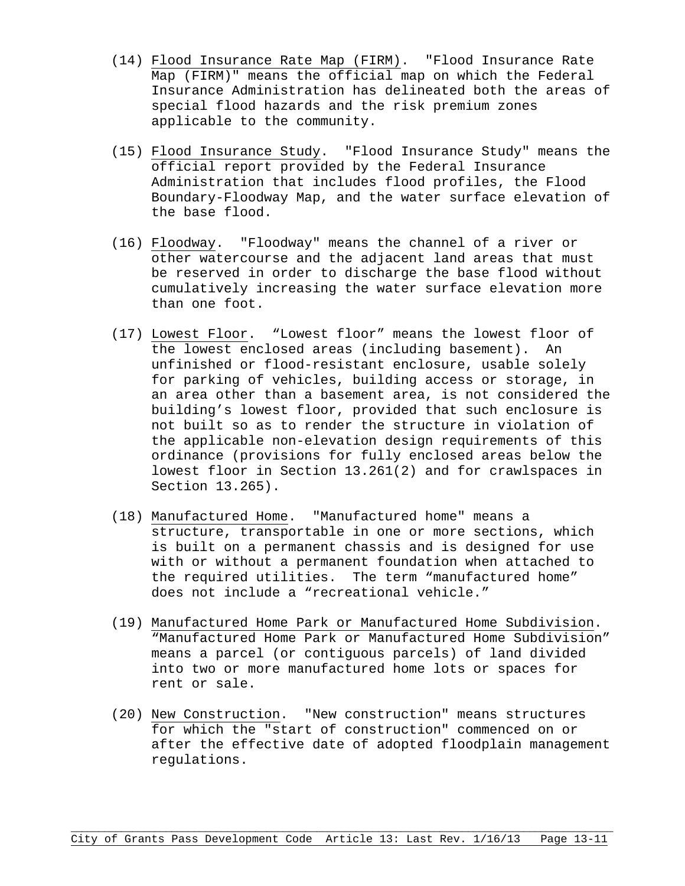- (14) Flood Insurance Rate Map (FIRM). "Flood Insurance Rate Map (FIRM)" means the official map on which the Federal Insurance Administration has delineated both the areas of special flood hazards and the risk premium zones applicable to the community.
- (15) Flood Insurance Study. "Flood Insurance Study" means the official report provided by the Federal Insurance Administration that includes flood profiles, the Flood Boundary-Floodway Map, and the water surface elevation of the base flood.
- (16) Floodway. "Floodway" means the channel of a river or other watercourse and the adjacent land areas that must be reserved in order to discharge the base flood without cumulatively increasing the water surface elevation more than one foot.
- (17) Lowest Floor. "Lowest floor" means the lowest floor of the lowest enclosed areas (including basement). An unfinished or flood-resistant enclosure, usable solely for parking of vehicles, building access or storage, in an area other than a basement area, is not considered the building's lowest floor, provided that such enclosure is not built so as to render the structure in violation of the applicable non-elevation design requirements of this ordinance (provisions for fully enclosed areas below the lowest floor in Section 13.261(2) and for crawlspaces in Section 13.265).
- (18) Manufactured Home. "Manufactured home" means a structure, transportable in one or more sections, which is built on a permanent chassis and is designed for use with or without a permanent foundation when attached to the required utilities. The term "manufactured home" does not include a "recreational vehicle."
- (19) Manufactured Home Park or Manufactured Home Subdivision. "Manufactured Home Park or Manufactured Home Subdivision" means a parcel (or contiguous parcels) of land divided into two or more manufactured home lots or spaces for rent or sale.
- (20) New Construction. "New construction" means structures for which the "start of construction" commenced on or after the effective date of adopted floodplain management regulations.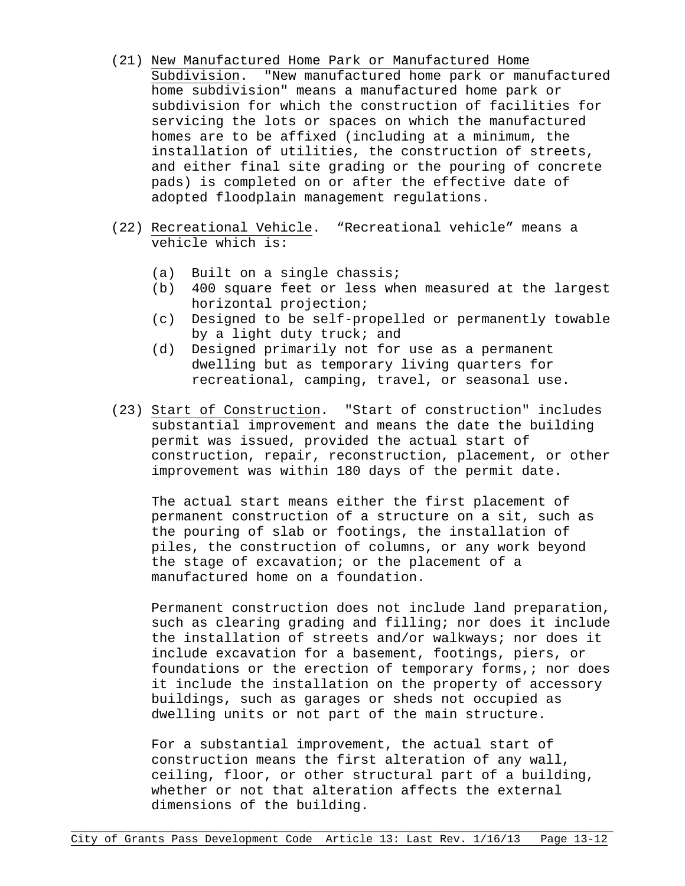#### (21) New Manufactured Home Park or Manufactured Home

- Subdivision. "New manufactured home park or manufactured home subdivision" means a manufactured home park or subdivision for which the construction of facilities for servicing the lots or spaces on which the manufactured homes are to be affixed (including at a minimum, the installation of utilities, the construction of streets, and either final site grading or the pouring of concrete pads) is completed on or after the effective date of adopted floodplain management regulations.
- (22) Recreational Vehicle. "Recreational vehicle" means a vehicle which is:
	- (a) Built on a single chassis;
	- (b) 400 square feet or less when measured at the largest horizontal projection;
	- (c) Designed to be self-propelled or permanently towable by a light duty truck; and
	- (d) Designed primarily not for use as a permanent dwelling but as temporary living quarters for recreational, camping, travel, or seasonal use.
- (23) Start of Construction. "Start of construction" includes substantial improvement and means the date the building permit was issued, provided the actual start of construction, repair, reconstruction, placement, or other improvement was within 180 days of the permit date.

The actual start means either the first placement of permanent construction of a structure on a sit, such as the pouring of slab or footings, the installation of piles, the construction of columns, or any work beyond the stage of excavation; or the placement of a manufactured home on a foundation.

Permanent construction does not include land preparation, such as clearing grading and filling; nor does it include the installation of streets and/or walkways; nor does it include excavation for a basement, footings, piers, or foundations or the erection of temporary forms,; nor does it include the installation on the property of accessory buildings, such as garages or sheds not occupied as dwelling units or not part of the main structure.

For a substantial improvement, the actual start of construction means the first alteration of any wall, ceiling, floor, or other structural part of a building, whether or not that alteration affects the external dimensions of the building.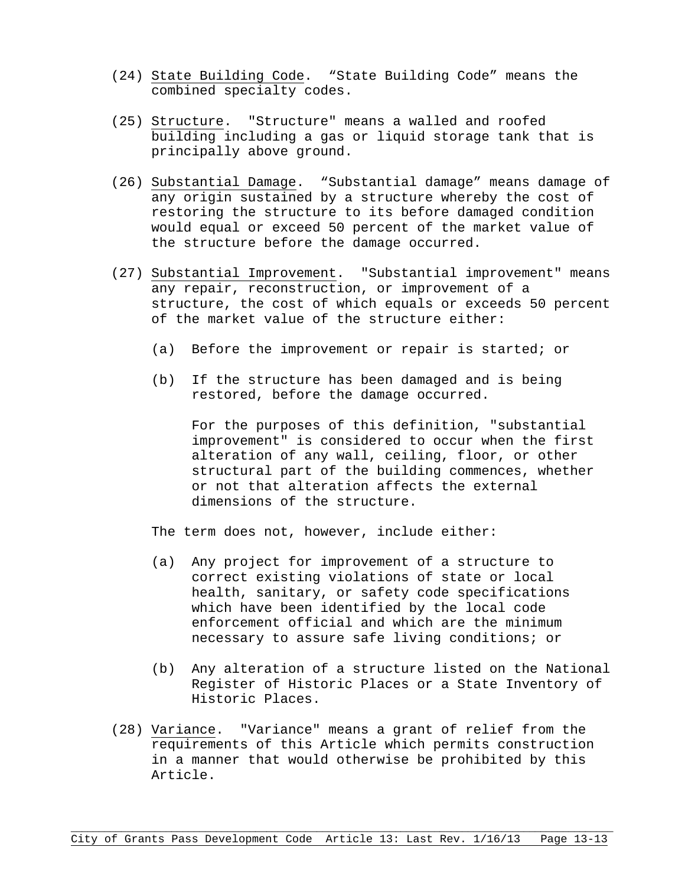- (24) State Building Code. "State Building Code" means the combined specialty codes.
- (25) Structure. "Structure" means a walled and roofed building including a gas or liquid storage tank that is principally above ground.
- (26) Substantial Damage. "Substantial damage" means damage of any origin sustained by a structure whereby the cost of restoring the structure to its before damaged condition would equal or exceed 50 percent of the market value of the structure before the damage occurred.
- (27) Substantial Improvement. "Substantial improvement" means any repair, reconstruction, or improvement of a structure, the cost of which equals or exceeds 50 percent of the market value of the structure either:
	- (a) Before the improvement or repair is started; or
	- (b) If the structure has been damaged and is being restored, before the damage occurred.

For the purposes of this definition, "substantial improvement" is considered to occur when the first alteration of any wall, ceiling, floor, or other structural part of the building commences, whether or not that alteration affects the external dimensions of the structure.

The term does not, however, include either:

- (a) Any project for improvement of a structure to correct existing violations of state or local health, sanitary, or safety code specifications which have been identified by the local code enforcement official and which are the minimum necessary to assure safe living conditions; or
- (b) Any alteration of a structure listed on the National Register of Historic Places or a State Inventory of Historic Places.
- (28) Variance. "Variance" means a grant of relief from the requirements of this Article which permits construction in a manner that would otherwise be prohibited by this Article.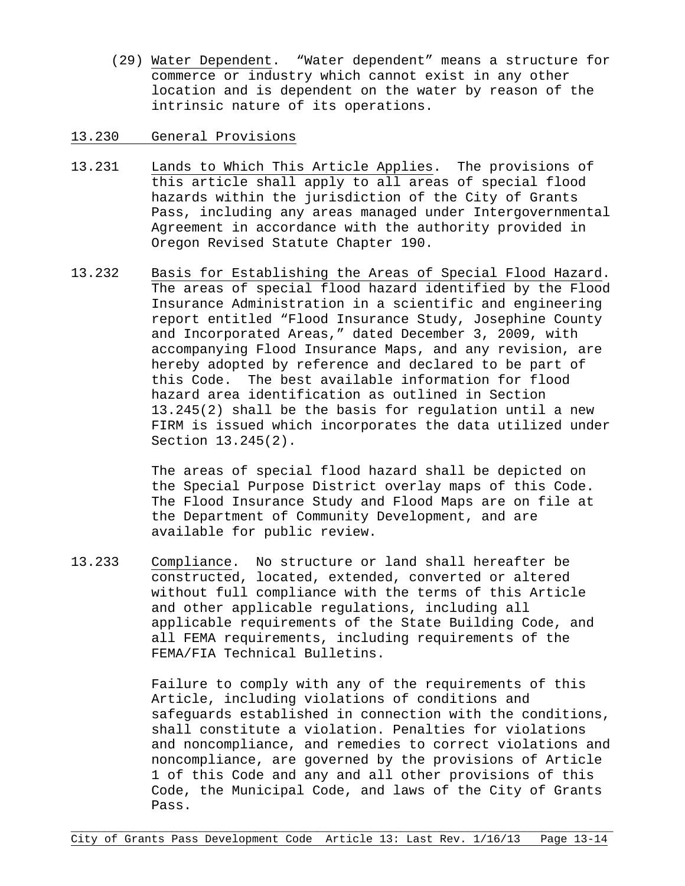- (29) Water Dependent. "Water dependent" means a structure for commerce or industry which cannot exist in any other location and is dependent on the water by reason of the intrinsic nature of its operations.
- 13.230 General Provisions
- 13.231 Lands to Which This Article Applies. The provisions of this article shall apply to all areas of special flood hazards within the jurisdiction of the City of Grants Pass, including any areas managed under Intergovernmental Agreement in accordance with the authority provided in Oregon Revised Statute Chapter 190.
- 13.232 Basis for Establishing the Areas of Special Flood Hazard. The areas of special flood hazard identified by the Flood Insurance Administration in a scientific and engineering report entitled "Flood Insurance Study, Josephine County and Incorporated Areas," dated December 3, 2009, with accompanying Flood Insurance Maps, and any revision, are hereby adopted by reference and declared to be part of this Code. The best available information for flood hazard area identification as outlined in Section 13.245(2) shall be the basis for regulation until a new FIRM is issued which incorporates the data utilized under Section 13.245(2).

The areas of special flood hazard shall be depicted on the Special Purpose District overlay maps of this Code. The Flood Insurance Study and Flood Maps are on file at the Department of Community Development, and are available for public review.

13.233 Compliance. No structure or land shall hereafter be constructed, located, extended, converted or altered without full compliance with the terms of this Article and other applicable regulations, including all applicable requirements of the State Building Code, and all FEMA requirements, including requirements of the FEMA/FIA Technical Bulletins.

> Failure to comply with any of the requirements of this Article, including violations of conditions and safeguards established in connection with the conditions, shall constitute a violation. Penalties for violations and noncompliance, and remedies to correct violations and noncompliance, are governed by the provisions of Article 1 of this Code and any and all other provisions of this Code, the Municipal Code, and laws of the City of Grants Pass.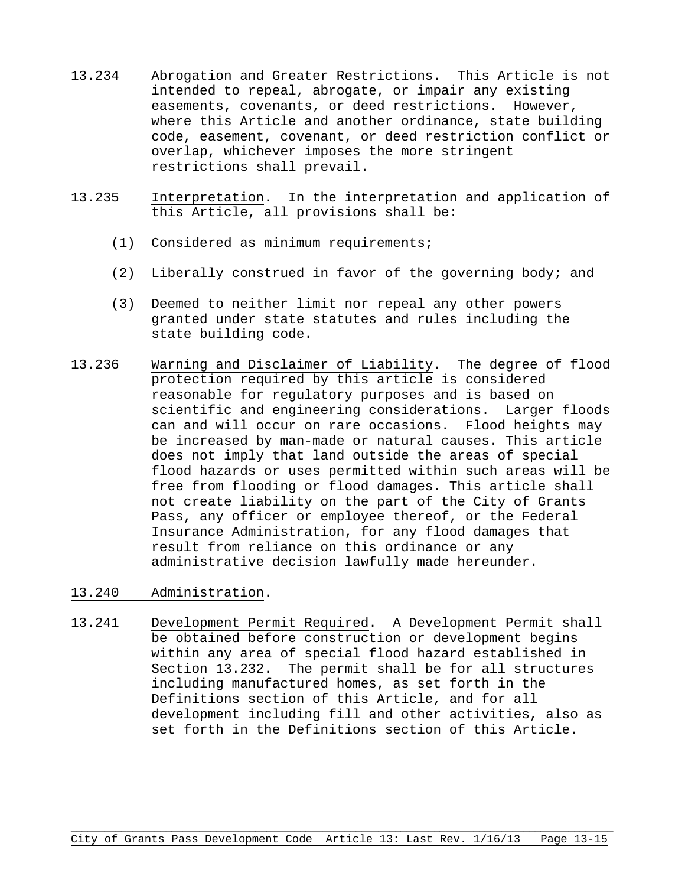- 13.234 Abrogation and Greater Restrictions. This Article is not intended to repeal, abrogate, or impair any existing easements, covenants, or deed restrictions. However, where this Article and another ordinance, state building code, easement, covenant, or deed restriction conflict or overlap, whichever imposes the more stringent restrictions shall prevail.
- 13.235 Interpretation. In the interpretation and application of this Article, all provisions shall be:
	- (1) Considered as minimum requirements;
	- (2) Liberally construed in favor of the governing body; and
	- (3) Deemed to neither limit nor repeal any other powers granted under state statutes and rules including the state building code.
- 13.236 Warning and Disclaimer of Liability. The degree of flood protection required by this article is considered reasonable for regulatory purposes and is based on scientific and engineering considerations. Larger floods can and will occur on rare occasions. Flood heights may be increased by man-made or natural causes. This article does not imply that land outside the areas of special flood hazards or uses permitted within such areas will be free from flooding or flood damages. This article shall not create liability on the part of the City of Grants Pass, any officer or employee thereof, or the Federal Insurance Administration, for any flood damages that result from reliance on this ordinance or any administrative decision lawfully made hereunder.
- 13.240 Administration.
- 13.241 Development Permit Required. A Development Permit shall be obtained before construction or development begins within any area of special flood hazard established in Section 13.232. The permit shall be for all structures including manufactured homes, as set forth in the Definitions section of this Article, and for all development including fill and other activities, also as set forth in the Definitions section of this Article.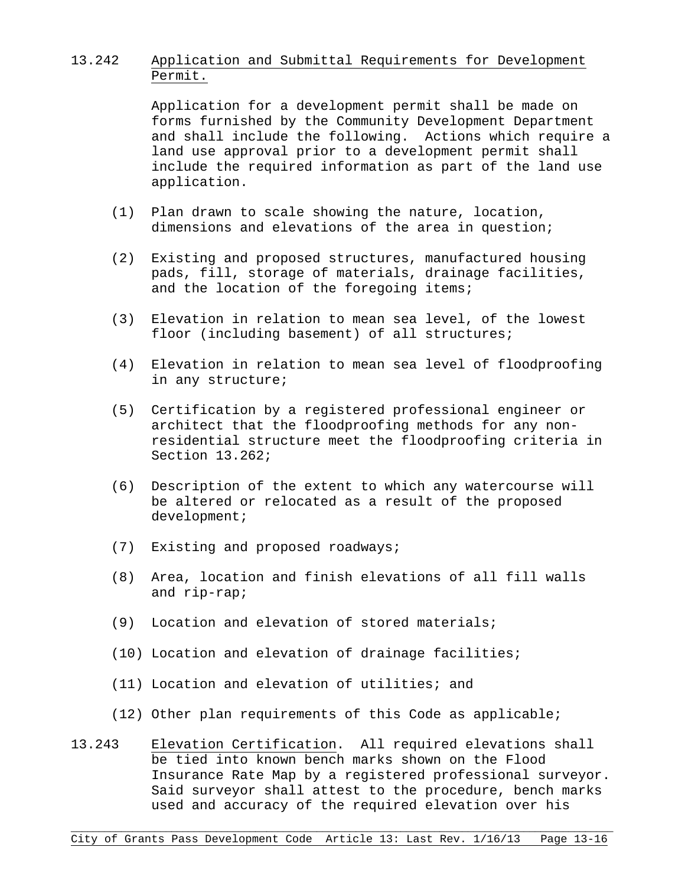# 13.242 Application and Submittal Requirements for Development Permit.

Application for a development permit shall be made on forms furnished by the Community Development Department and shall include the following. Actions which require a land use approval prior to a development permit shall include the required information as part of the land use application.

- (1) Plan drawn to scale showing the nature, location, dimensions and elevations of the area in question;
- (2) Existing and proposed structures, manufactured housing pads, fill, storage of materials, drainage facilities, and the location of the foregoing items;
- (3) Elevation in relation to mean sea level, of the lowest floor (including basement) of all structures;
- (4) Elevation in relation to mean sea level of floodproofing in any structure;
- (5) Certification by a registered professional engineer or architect that the floodproofing methods for any nonresidential structure meet the floodproofing criteria in Section 13.262;
- (6) Description of the extent to which any watercourse will be altered or relocated as a result of the proposed development;
- (7) Existing and proposed roadways;
- (8) Area, location and finish elevations of all fill walls and rip-rap;
- (9) Location and elevation of stored materials;
- (10) Location and elevation of drainage facilities;
- (11) Location and elevation of utilities; and
- (12) Other plan requirements of this Code as applicable;
- 13.243 Elevation Certification. All required elevations shall be tied into known bench marks shown on the Flood Insurance Rate Map by a registered professional surveyor. Said surveyor shall attest to the procedure, bench marks used and accuracy of the required elevation over his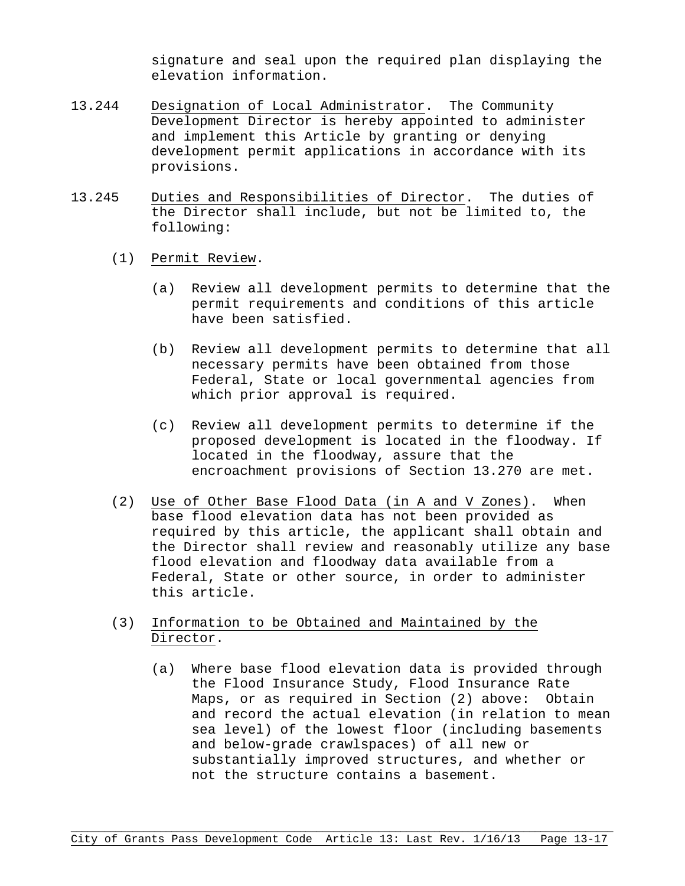signature and seal upon the required plan displaying the elevation information.

- 13.244 Designation of Local Administrator. The Community Development Director is hereby appointed to administer and implement this Article by granting or denying development permit applications in accordance with its provisions.
- 13.245 Duties and Responsibilities of Director. The duties of the Director shall include, but not be limited to, the following:
	- (1) Permit Review.
		- (a) Review all development permits to determine that the permit requirements and conditions of this article have been satisfied.
		- (b) Review all development permits to determine that all necessary permits have been obtained from those Federal, State or local governmental agencies from which prior approval is required.
		- (c) Review all development permits to determine if the proposed development is located in the floodway. If located in the floodway, assure that the encroachment provisions of Section 13.270 are met.
	- (2) Use of Other Base Flood Data (in A and V Zones). When base flood elevation data has not been provided as required by this article, the applicant shall obtain and the Director shall review and reasonably utilize any base flood elevation and floodway data available from a Federal, State or other source, in order to administer this article.
	- (3) Information to be Obtained and Maintained by the Director.
		- (a) Where base flood elevation data is provided through the Flood Insurance Study, Flood Insurance Rate Maps, or as required in Section (2) above: Obtain and record the actual elevation (in relation to mean sea level) of the lowest floor (including basements and below-grade crawlspaces) of all new or substantially improved structures, and whether or not the structure contains a basement.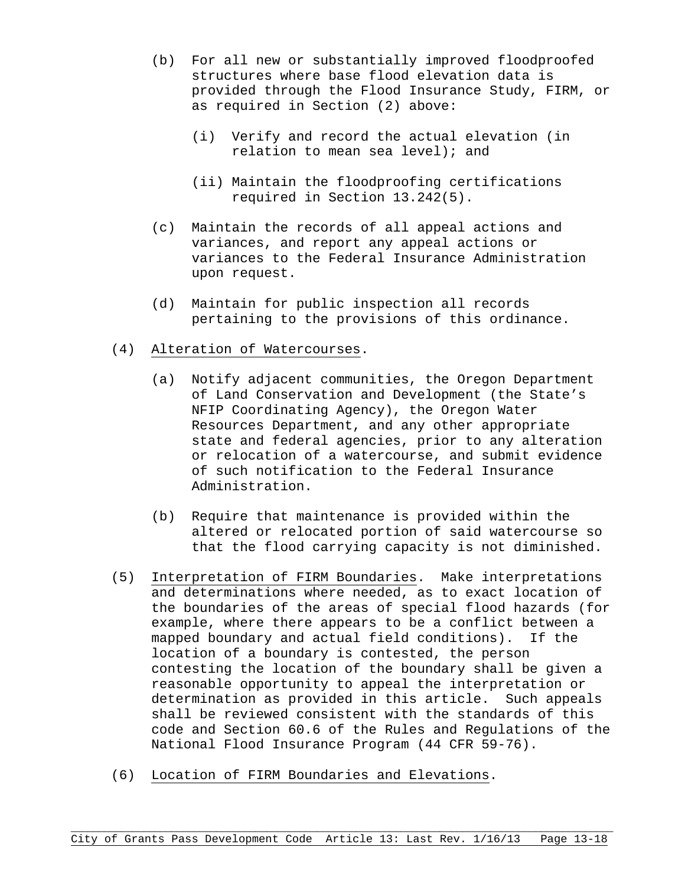- (b) For all new or substantially improved floodproofed structures where base flood elevation data is provided through the Flood Insurance Study, FIRM, or as required in Section (2) above:
	- (i) Verify and record the actual elevation (in relation to mean sea level); and
	- (ii) Maintain the floodproofing certifications required in Section 13.242(5).
- (c) Maintain the records of all appeal actions and variances, and report any appeal actions or variances to the Federal Insurance Administration upon request.
- (d) Maintain for public inspection all records pertaining to the provisions of this ordinance.

# (4) Alteration of Watercourses.

- (a) Notify adjacent communities, the Oregon Department of Land Conservation and Development (the State's NFIP Coordinating Agency), the Oregon Water Resources Department, and any other appropriate state and federal agencies, prior to any alteration or relocation of a watercourse, and submit evidence of such notification to the Federal Insurance Administration.
- (b) Require that maintenance is provided within the altered or relocated portion of said watercourse so that the flood carrying capacity is not diminished.
- (5) Interpretation of FIRM Boundaries. Make interpretations and determinations where needed, as to exact location of the boundaries of the areas of special flood hazards (for example, where there appears to be a conflict between a mapped boundary and actual field conditions). If the location of a boundary is contested, the person contesting the location of the boundary shall be given a reasonable opportunity to appeal the interpretation or determination as provided in this article. Such appeals shall be reviewed consistent with the standards of this code and Section 60.6 of the Rules and Regulations of the National Flood Insurance Program (44 CFR 59-76).
- (6) Location of FIRM Boundaries and Elevations.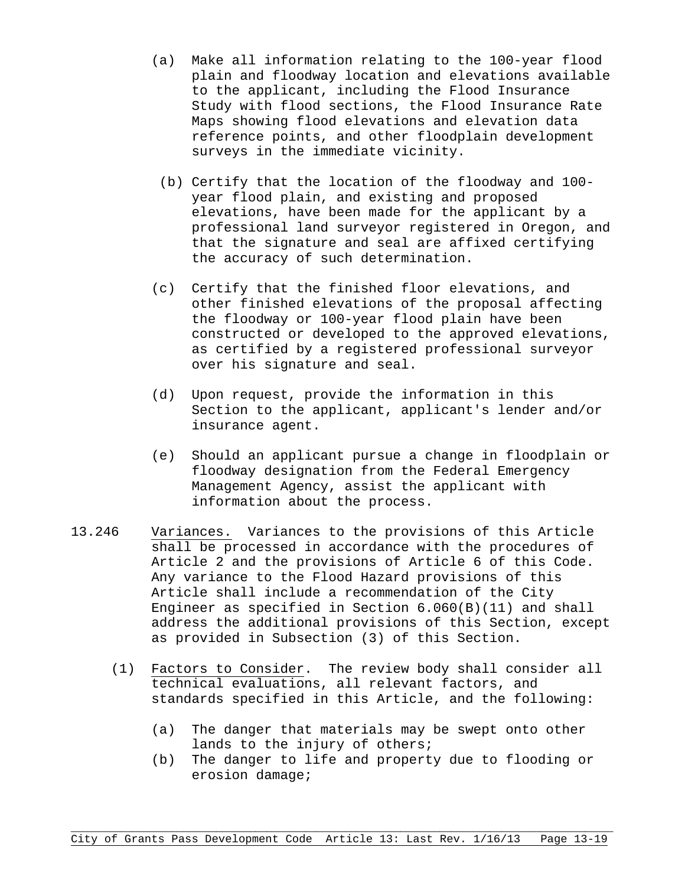- (a) Make all information relating to the 100-year flood plain and floodway location and elevations available to the applicant, including the Flood Insurance Study with flood sections, the Flood Insurance Rate Maps showing flood elevations and elevation data reference points, and other floodplain development surveys in the immediate vicinity.
- (b) Certify that the location of the floodway and 100 year flood plain, and existing and proposed elevations, have been made for the applicant by a professional land surveyor registered in Oregon, and that the signature and seal are affixed certifying the accuracy of such determination.
- (c) Certify that the finished floor elevations, and other finished elevations of the proposal affecting the floodway or 100-year flood plain have been constructed or developed to the approved elevations, as certified by a registered professional surveyor over his signature and seal.
- (d) Upon request, provide the information in this Section to the applicant, applicant's lender and/or insurance agent.
- (e) Should an applicant pursue a change in floodplain or floodway designation from the Federal Emergency Management Agency, assist the applicant with information about the process.
- 13.246 Variances. Variances to the provisions of this Article shall be processed in accordance with the procedures of Article 2 and the provisions of Article 6 of this Code. Any variance to the Flood Hazard provisions of this Article shall include a recommendation of the City Engineer as specified in Section 6.060(B)(11) and shall address the additional provisions of this Section, except as provided in Subsection (3) of this Section.
	- (1) Factors to Consider. The review body shall consider all technical evaluations, all relevant factors, and standards specified in this Article, and the following:
		- (a) The danger that materials may be swept onto other lands to the injury of others;
		- (b) The danger to life and property due to flooding or erosion damage;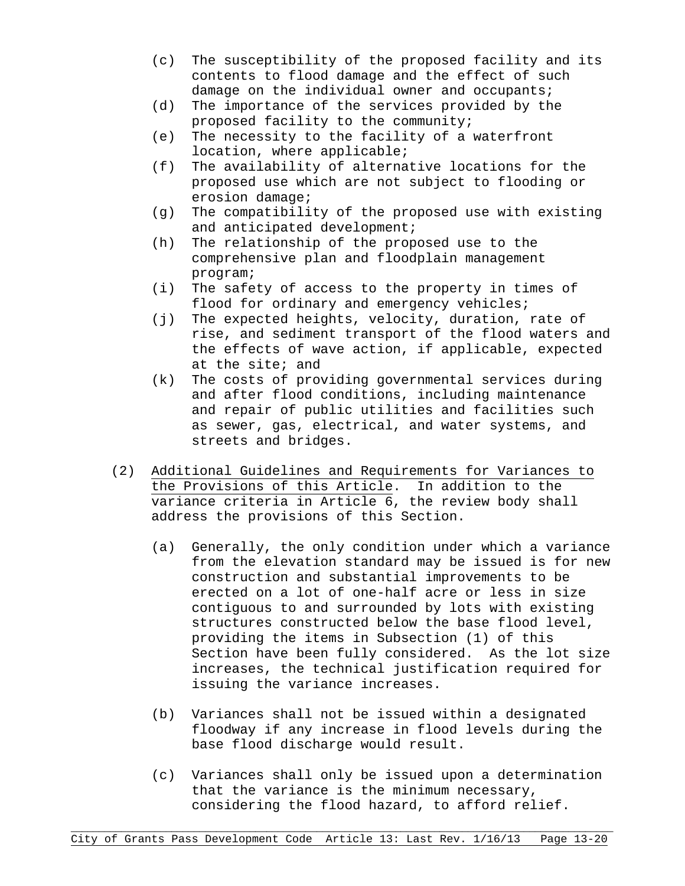- (c) The susceptibility of the proposed facility and its contents to flood damage and the effect of such damage on the individual owner and occupants;
- (d) The importance of the services provided by the proposed facility to the community;
- (e) The necessity to the facility of a waterfront location, where applicable;
- (f) The availability of alternative locations for the proposed use which are not subject to flooding or erosion damage;
- (g) The compatibility of the proposed use with existing and anticipated development;
- (h) The relationship of the proposed use to the comprehensive plan and floodplain management program;
- (i) The safety of access to the property in times of flood for ordinary and emergency vehicles;
- (j) The expected heights, velocity, duration, rate of rise, and sediment transport of the flood waters and the effects of wave action, if applicable, expected at the site; and
- (k) The costs of providing governmental services during and after flood conditions, including maintenance and repair of public utilities and facilities such as sewer, gas, electrical, and water systems, and streets and bridges.
- (2) Additional Guidelines and Requirements for Variances to the Provisions of this Article. In addition to the variance criteria in Article 6, the review body shall address the provisions of this Section.
	- (a) Generally, the only condition under which a variance from the elevation standard may be issued is for new construction and substantial improvements to be erected on a lot of one-half acre or less in size contiguous to and surrounded by lots with existing structures constructed below the base flood level, providing the items in Subsection (1) of this Section have been fully considered. As the lot size increases, the technical justification required for issuing the variance increases.
	- (b) Variances shall not be issued within a designated floodway if any increase in flood levels during the base flood discharge would result.
	- (c) Variances shall only be issued upon a determination that the variance is the minimum necessary, considering the flood hazard, to afford relief.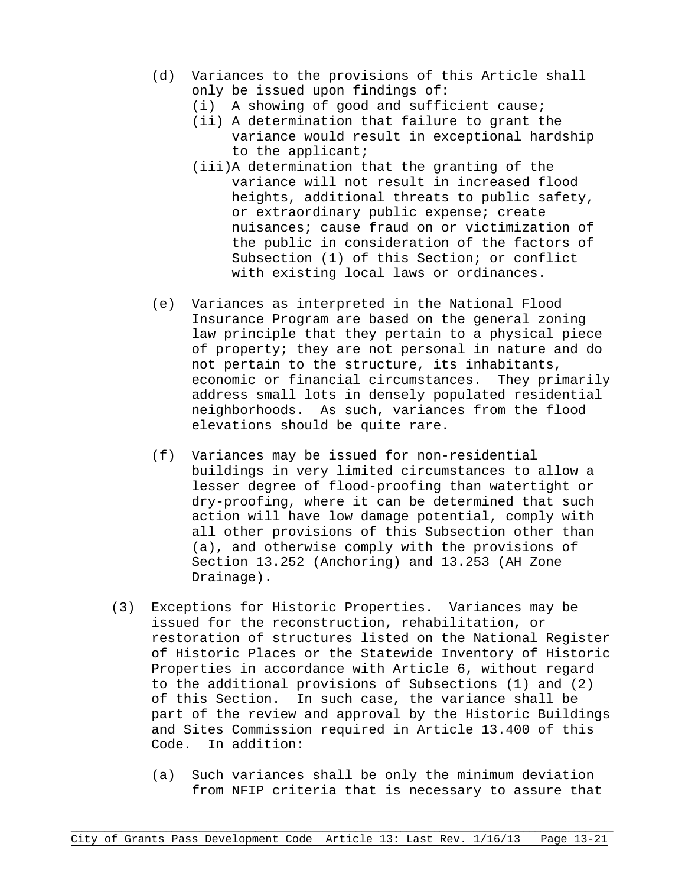- (d) Variances to the provisions of this Article shall only be issued upon findings of:
	- (i) A showing of good and sufficient cause;
	- (ii) A determination that failure to grant the variance would result in exceptional hardship to the applicant;
	- (iii)A determination that the granting of the variance will not result in increased flood heights, additional threats to public safety, or extraordinary public expense; create nuisances; cause fraud on or victimization of the public in consideration of the factors of Subsection (1) of this Section; or conflict with existing local laws or ordinances.
- (e) Variances as interpreted in the National Flood Insurance Program are based on the general zoning law principle that they pertain to a physical piece of property; they are not personal in nature and do not pertain to the structure, its inhabitants, economic or financial circumstances. They primarily address small lots in densely populated residential neighborhoods. As such, variances from the flood elevations should be quite rare.
- (f) Variances may be issued for non-residential buildings in very limited circumstances to allow a lesser degree of flood-proofing than watertight or dry-proofing, where it can be determined that such action will have low damage potential, comply with all other provisions of this Subsection other than (a), and otherwise comply with the provisions of Section 13.252 (Anchoring) and 13.253 (AH Zone Drainage).
- (3) Exceptions for Historic Properties**.** Variances may be issued for the reconstruction, rehabilitation, or restoration of structures listed on the National Register of Historic Places or the Statewide Inventory of Historic Properties in accordance with Article 6, without regard to the additional provisions of Subsections (1) and (2) of this Section. In such case, the variance shall be part of the review and approval by the Historic Buildings and Sites Commission required in Article 13.400 of this Code. In addition:
	- (a) Such variances shall be only the minimum deviation from NFIP criteria that is necessary to assure that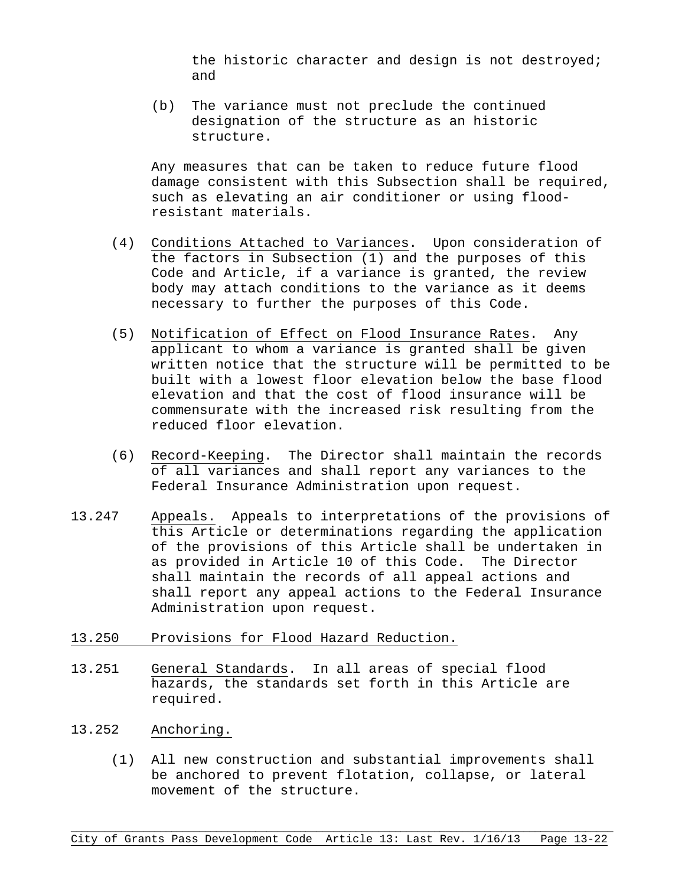the historic character and design is not destroyed; and

(b) The variance must not preclude the continued designation of the structure as an historic structure.

Any measures that can be taken to reduce future flood damage consistent with this Subsection shall be required, such as elevating an air conditioner or using floodresistant materials.

- (4) Conditions Attached to Variances. Upon consideration of the factors in Subsection (1) and the purposes of this Code and Article, if a variance is granted, the review body may attach conditions to the variance as it deems necessary to further the purposes of this Code.
- (5) Notification of Effect on Flood Insurance Rates. Any applicant to whom a variance is granted shall be given written notice that the structure will be permitted to be built with a lowest floor elevation below the base flood elevation and that the cost of flood insurance will be commensurate with the increased risk resulting from the reduced floor elevation.
- (6) Record-Keeping. The Director shall maintain the records of all variances and shall report any variances to the Federal Insurance Administration upon request.
- 13.247 Appeals. Appeals to interpretations of the provisions of this Article or determinations regarding the application of the provisions of this Article shall be undertaken in as provided in Article 10 of this Code. The Director shall maintain the records of all appeal actions and shall report any appeal actions to the Federal Insurance Administration upon request.
- 13.250 Provisions for Flood Hazard Reduction.
- 13.251 General Standards. In all areas of special flood hazards, the standards set forth in this Article are required.
- 13.252 Anchoring.
	- (1) All new construction and substantial improvements shall be anchored to prevent flotation, collapse, or lateral movement of the structure.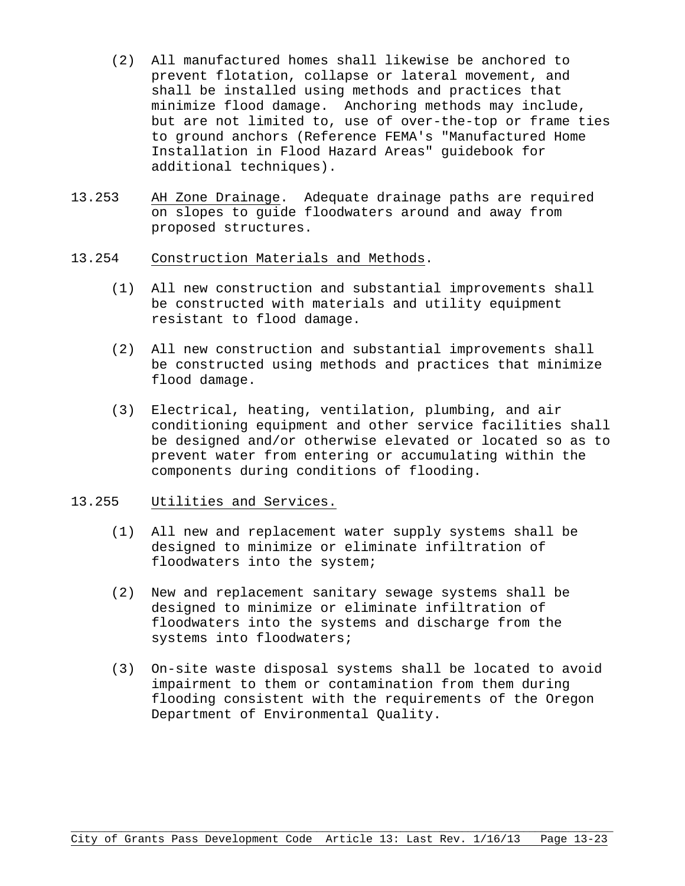- (2) All manufactured homes shall likewise be anchored to prevent flotation, collapse or lateral movement, and shall be installed using methods and practices that minimize flood damage. Anchoring methods may include, but are not limited to, use of over-the-top or frame ties to ground anchors (Reference FEMA's "Manufactured Home Installation in Flood Hazard Areas" guidebook for additional techniques).
- 13.253 AH Zone Drainage. Adequate drainage paths are required on slopes to guide floodwaters around and away from proposed structures.
- 13.254 Construction Materials and Methods.
	- (1) All new construction and substantial improvements shall be constructed with materials and utility equipment resistant to flood damage.
	- (2) All new construction and substantial improvements shall be constructed using methods and practices that minimize flood damage.
	- (3) Electrical, heating, ventilation, plumbing, and air conditioning equipment and other service facilities shall be designed and/or otherwise elevated or located so as to prevent water from entering or accumulating within the components during conditions of flooding.

# 13.255 Utilities and Services.

- (1) All new and replacement water supply systems shall be designed to minimize or eliminate infiltration of floodwaters into the system;
- (2) New and replacement sanitary sewage systems shall be designed to minimize or eliminate infiltration of floodwaters into the systems and discharge from the systems into floodwaters;
- (3) On-site waste disposal systems shall be located to avoid impairment to them or contamination from them during flooding consistent with the requirements of the Oregon Department of Environmental Quality.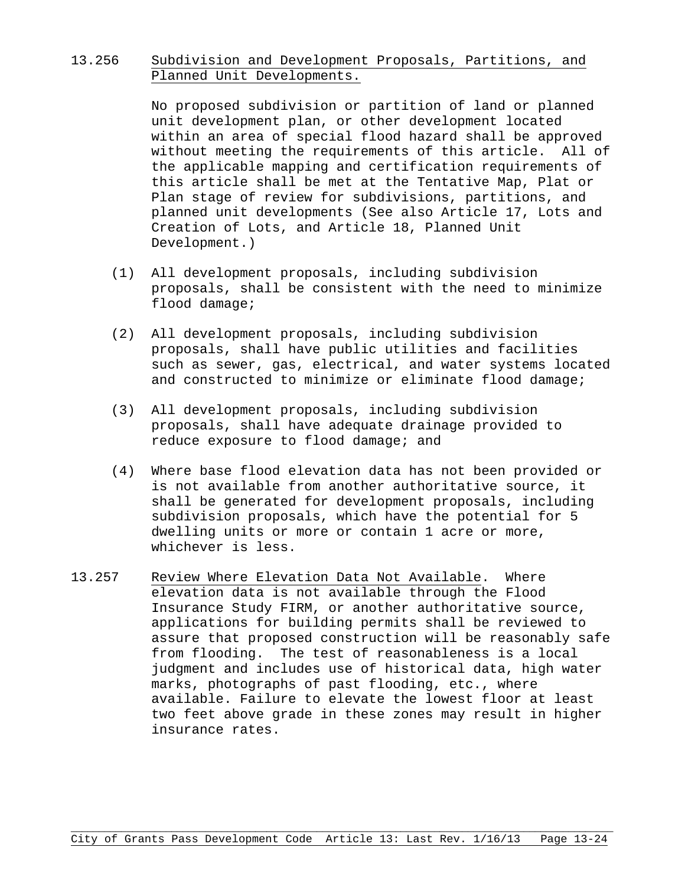## 13.256 Subdivision and Development Proposals, Partitions, and Planned Unit Developments.

 No proposed subdivision or partition of land or planned unit development plan, or other development located within an area of special flood hazard shall be approved without meeting the requirements of this article. All of the applicable mapping and certification requirements of this article shall be met at the Tentative Map, Plat or Plan stage of review for subdivisions, partitions, and planned unit developments (See also Article 17, Lots and Creation of Lots, and Article 18, Planned Unit Development.)

- (1) All development proposals, including subdivision proposals, shall be consistent with the need to minimize flood damage;
- (2) All development proposals, including subdivision proposals, shall have public utilities and facilities such as sewer, gas, electrical, and water systems located and constructed to minimize or eliminate flood damage;
- (3) All development proposals, including subdivision proposals, shall have adequate drainage provided to reduce exposure to flood damage; and
- (4) Where base flood elevation data has not been provided or is not available from another authoritative source, it shall be generated for development proposals, including subdivision proposals, which have the potential for 5 dwelling units or more or contain 1 acre or more, whichever is less.
- 13.257 Review Where Elevation Data Not Available. Where elevation data is not available through the Flood Insurance Study FIRM, or another authoritative source, applications for building permits shall be reviewed to assure that proposed construction will be reasonably safe from flooding. The test of reasonableness is a local judgment and includes use of historical data, high water marks, photographs of past flooding, etc., where available. Failure to elevate the lowest floor at least two feet above grade in these zones may result in higher insurance rates.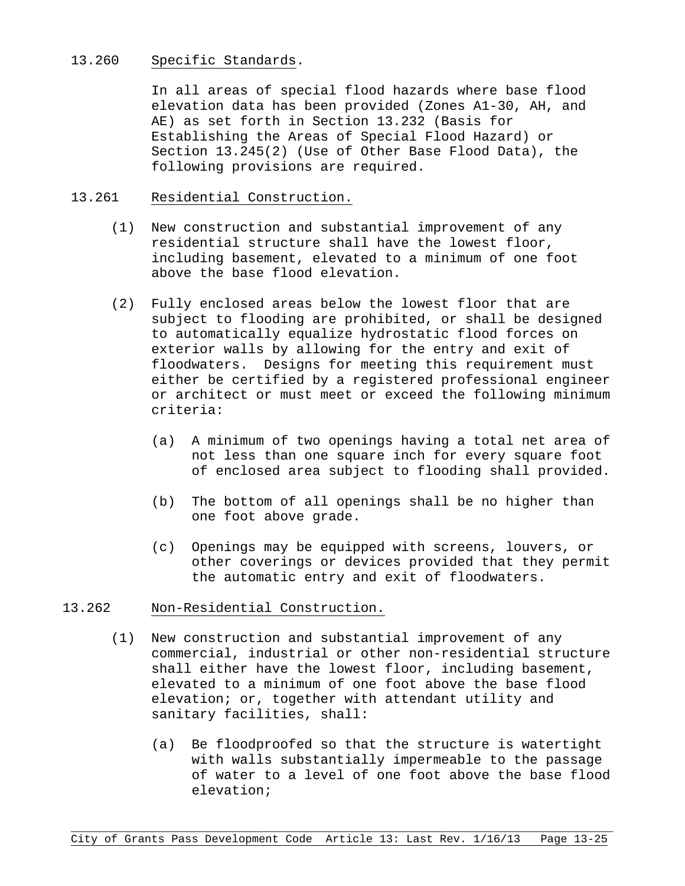#### 13.260 Specific Standards.

 In all areas of special flood hazards where base flood elevation data has been provided (Zones A1-30, AH, and AE) as set forth in Section 13.232 (Basis for Establishing the Areas of Special Flood Hazard) or Section 13.245(2) (Use of Other Base Flood Data), the following provisions are required.

# 13.261 Residential Construction.

- (1) New construction and substantial improvement of any residential structure shall have the lowest floor, including basement, elevated to a minimum of one foot above the base flood elevation.
- (2) Fully enclosed areas below the lowest floor that are subject to flooding are prohibited, or shall be designed to automatically equalize hydrostatic flood forces on exterior walls by allowing for the entry and exit of floodwaters. Designs for meeting this requirement must either be certified by a registered professional engineer or architect or must meet or exceed the following minimum criteria:
	- (a) A minimum of two openings having a total net area of not less than one square inch for every square foot of enclosed area subject to flooding shall provided.
	- (b) The bottom of all openings shall be no higher than one foot above grade.
	- (c) Openings may be equipped with screens, louvers, or other coverings or devices provided that they permit the automatic entry and exit of floodwaters.

# 13.262 Non-Residential Construction.

- (1) New construction and substantial improvement of any commercial, industrial or other non-residential structure shall either have the lowest floor, including basement, elevated to a minimum of one foot above the base flood elevation; or, together with attendant utility and sanitary facilities, shall:
	- (a) Be floodproofed so that the structure is watertight with walls substantially impermeable to the passage of water to a level of one foot above the base flood elevation;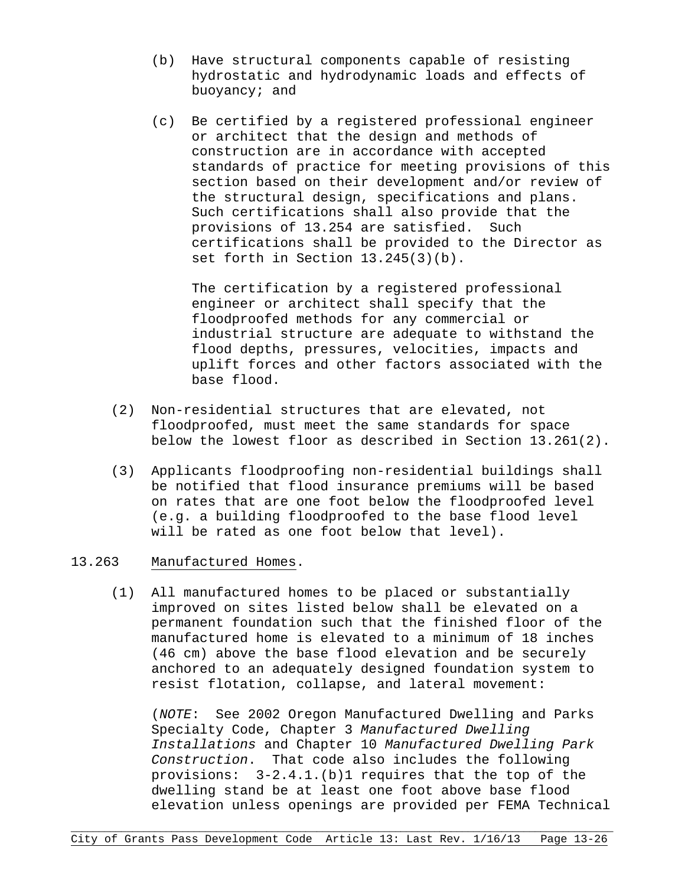- (b) Have structural components capable of resisting hydrostatic and hydrodynamic loads and effects of buoyancy; and
- (c) Be certified by a registered professional engineer or architect that the design and methods of construction are in accordance with accepted standards of practice for meeting provisions of this section based on their development and/or review of the structural design, specifications and plans. Such certifications shall also provide that the provisions of 13.254 are satisfied. Such certifications shall be provided to the Director as set forth in Section 13.245(3)(b).

The certification by a registered professional engineer or architect shall specify that the floodproofed methods for any commercial or industrial structure are adequate to withstand the flood depths, pressures, velocities, impacts and uplift forces and other factors associated with the base flood.

- (2) Non-residential structures that are elevated, not floodproofed, must meet the same standards for space below the lowest floor as described in Section 13.261(2).
- (3) Applicants floodproofing non-residential buildings shall be notified that flood insurance premiums will be based on rates that are one foot below the floodproofed level (e.g. a building floodproofed to the base flood level will be rated as one foot below that level).

# 13.263 Manufactured Homes.

 (1) All manufactured homes to be placed or substantially improved on sites listed below shall be elevated on a permanent foundation such that the finished floor of the manufactured home is elevated to a minimum of 18 inches (46 cm) above the base flood elevation and be securely anchored to an adequately designed foundation system to resist flotation, collapse, and lateral movement:

 (*NOTE*: See 2002 Oregon Manufactured Dwelling and Parks Specialty Code, Chapter 3 *Manufactured Dwelling Installations* and Chapter 10 *Manufactured Dwelling Park Construction*. That code also includes the following provisions: 3-2.4.1.(b)1 requires that the top of the dwelling stand be at least one foot above base flood elevation unless openings are provided per FEMA Technical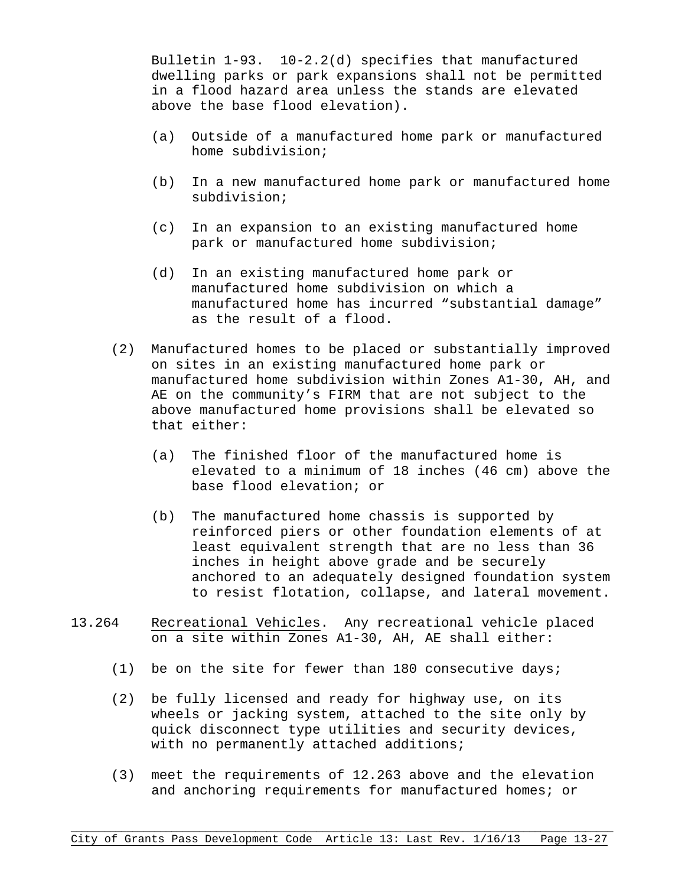Bulletin  $1-93$ .  $10-2.2(d)$  specifies that manufactured dwelling parks or park expansions shall not be permitted in a flood hazard area unless the stands are elevated above the base flood elevation).

- (a) Outside of a manufactured home park or manufactured home subdivision;
- (b) In a new manufactured home park or manufactured home subdivision;
- (c) In an expansion to an existing manufactured home park or manufactured home subdivision;
- (d) In an existing manufactured home park or manufactured home subdivision on which a manufactured home has incurred "substantial damage" as the result of a flood.
- (2) Manufactured homes to be placed or substantially improved on sites in an existing manufactured home park or manufactured home subdivision within Zones A1-30, AH, and AE on the community's FIRM that are not subject to the above manufactured home provisions shall be elevated so that either:
	- (a) The finished floor of the manufactured home is elevated to a minimum of 18 inches (46 cm) above the base flood elevation; or
	- (b) The manufactured home chassis is supported by reinforced piers or other foundation elements of at least equivalent strength that are no less than 36 inches in height above grade and be securely anchored to an adequately designed foundation system to resist flotation, collapse, and lateral movement.
- 13.264 Recreational Vehicles. Any recreational vehicle placed on a site within Zones A1-30, AH, AE shall either:
	- (1) be on the site for fewer than 180 consecutive days;
	- (2) be fully licensed and ready for highway use, on its wheels or jacking system, attached to the site only by quick disconnect type utilities and security devices, with no permanently attached additions;
	- (3) meet the requirements of 12.263 above and the elevation and anchoring requirements for manufactured homes; or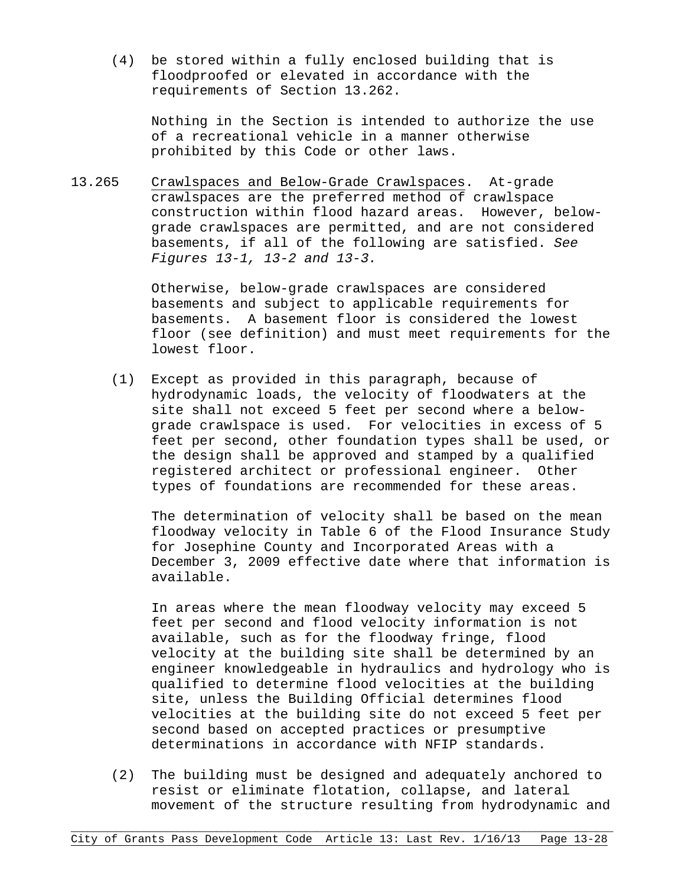(4) be stored within a fully enclosed building that is floodproofed or elevated in accordance with the requirements of Section 13.262.

Nothing in the Section is intended to authorize the use of a recreational vehicle in a manner otherwise prohibited by this Code or other laws.

13.265 Crawlspaces and Below-Grade Crawlspaces. At-grade crawlspaces are the preferred method of crawlspace construction within flood hazard areas. However, belowgrade crawlspaces are permitted, and are not considered basements, if all of the following are satisfied. *See Figures 13-1, 13-2 and 13-3.* 

> Otherwise, below-grade crawlspaces are considered basements and subject to applicable requirements for basements. A basement floor is considered the lowest floor (see definition) and must meet requirements for the lowest floor.

(1) Except as provided in this paragraph, because of hydrodynamic loads, the velocity of floodwaters at the site shall not exceed 5 feet per second where a belowgrade crawlspace is used. For velocities in excess of 5 feet per second, other foundation types shall be used, or the design shall be approved and stamped by a qualified registered architect or professional engineer. Other types of foundations are recommended for these areas.

The determination of velocity shall be based on the mean floodway velocity in Table 6 of the Flood Insurance Study for Josephine County and Incorporated Areas with a December 3, 2009 effective date where that information is available.

In areas where the mean floodway velocity may exceed 5 feet per second and flood velocity information is not available, such as for the floodway fringe, flood velocity at the building site shall be determined by an engineer knowledgeable in hydraulics and hydrology who is qualified to determine flood velocities at the building site, unless the Building Official determines flood velocities at the building site do not exceed 5 feet per second based on accepted practices or presumptive determinations in accordance with NFIP standards.

(2) The building must be designed and adequately anchored to resist or eliminate flotation, collapse, and lateral movement of the structure resulting from hydrodynamic and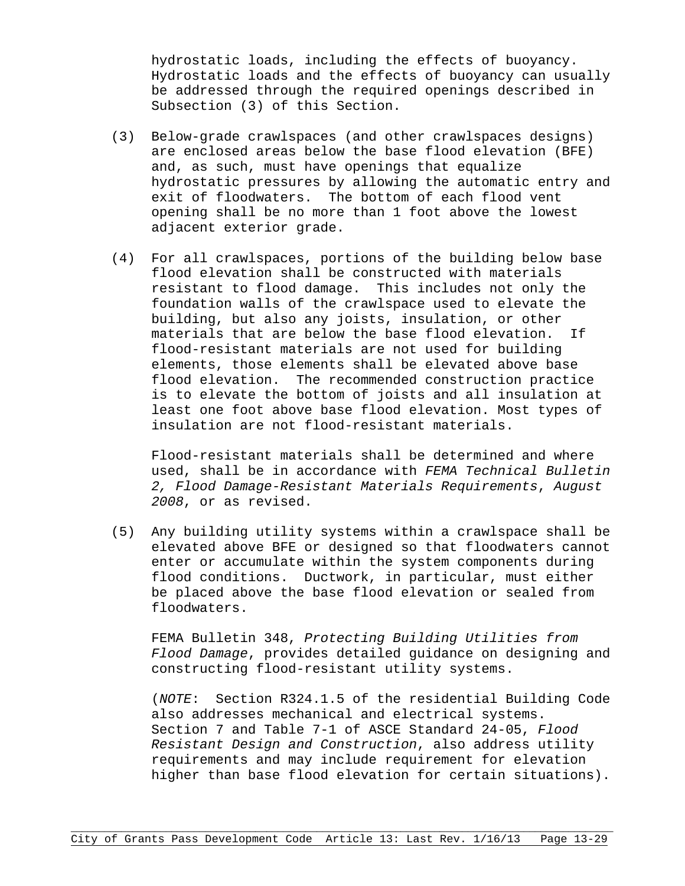hydrostatic loads, including the effects of buoyancy. Hydrostatic loads and the effects of buoyancy can usually be addressed through the required openings described in Subsection (3) of this Section.

- (3) Below-grade crawlspaces (and other crawlspaces designs) are enclosed areas below the base flood elevation (BFE) and, as such, must have openings that equalize hydrostatic pressures by allowing the automatic entry and exit of floodwaters. The bottom of each flood vent opening shall be no more than 1 foot above the lowest adjacent exterior grade.
- (4) For all crawlspaces, portions of the building below base flood elevation shall be constructed with materials resistant to flood damage. This includes not only the foundation walls of the crawlspace used to elevate the building, but also any joists, insulation, or other materials that are below the base flood elevation. If flood-resistant materials are not used for building elements, those elements shall be elevated above base flood elevation. The recommended construction practice is to elevate the bottom of joists and all insulation at least one foot above base flood elevation. Most types of insulation are not flood-resistant materials.

 Flood-resistant materials shall be determined and where used, shall be in accordance with *FEMA Technical Bulletin 2, Flood Damage-Resistant Materials Requirements*, *August 2008*, or as revised.

 (5) Any building utility systems within a crawlspace shall be elevated above BFE or designed so that floodwaters cannot enter or accumulate within the system components during flood conditions. Ductwork, in particular, must either be placed above the base flood elevation or sealed from floodwaters.

 FEMA Bulletin 348, *Protecting Building Utilities from Flood Damage*, provides detailed guidance on designing and constructing flood-resistant utility systems.

 (*NOTE*: Section R324.1.5 of the residential Building Code also addresses mechanical and electrical systems. Section 7 and Table 7-1 of ASCE Standard 24-05, *Flood Resistant Design and Construction*, also address utility requirements and may include requirement for elevation higher than base flood elevation for certain situations).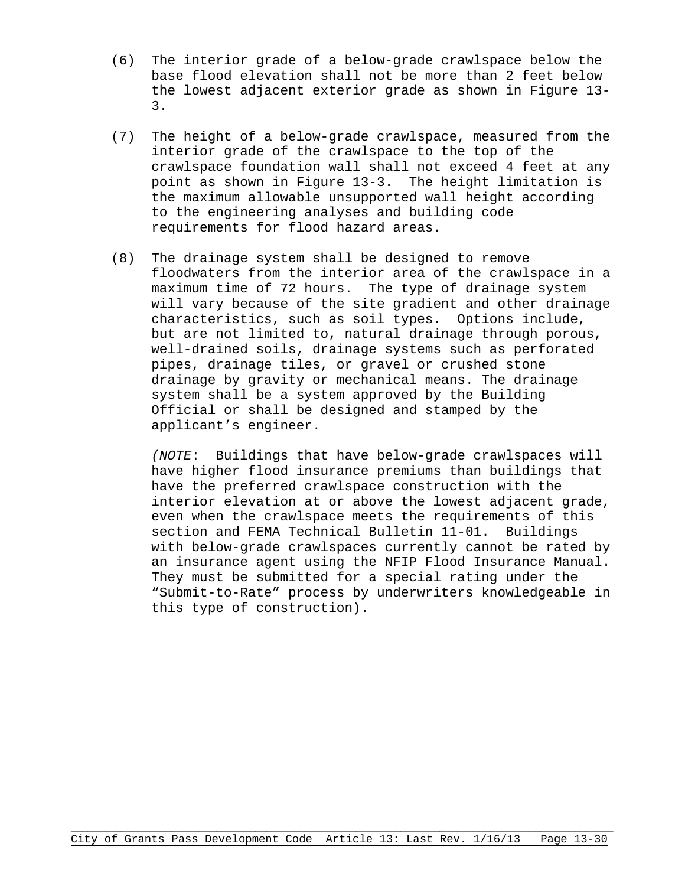- (6) The interior grade of a below-grade crawlspace below the base flood elevation shall not be more than 2 feet below the lowest adjacent exterior grade as shown in Figure 13- 3.
- (7) The height of a below-grade crawlspace, measured from the interior grade of the crawlspace to the top of the crawlspace foundation wall shall not exceed 4 feet at any point as shown in Figure 13-3. The height limitation is the maximum allowable unsupported wall height according to the engineering analyses and building code requirements for flood hazard areas.
- (8) The drainage system shall be designed to remove floodwaters from the interior area of the crawlspace in a maximum time of 72 hours. The type of drainage system will vary because of the site gradient and other drainage characteristics, such as soil types. Options include, but are not limited to, natural drainage through porous, well-drained soils, drainage systems such as perforated pipes, drainage tiles, or gravel or crushed stone drainage by gravity or mechanical means. The drainage system shall be a system approved by the Building Official or shall be designed and stamped by the applicant's engineer.

*(NOTE*: Buildings that have below-grade crawlspaces will have higher flood insurance premiums than buildings that have the preferred crawlspace construction with the interior elevation at or above the lowest adjacent grade, even when the crawlspace meets the requirements of this section and FEMA Technical Bulletin 11-01. Buildings with below-grade crawlspaces currently cannot be rated by an insurance agent using the NFIP Flood Insurance Manual. They must be submitted for a special rating under the "Submit-to-Rate" process by underwriters knowledgeable in this type of construction).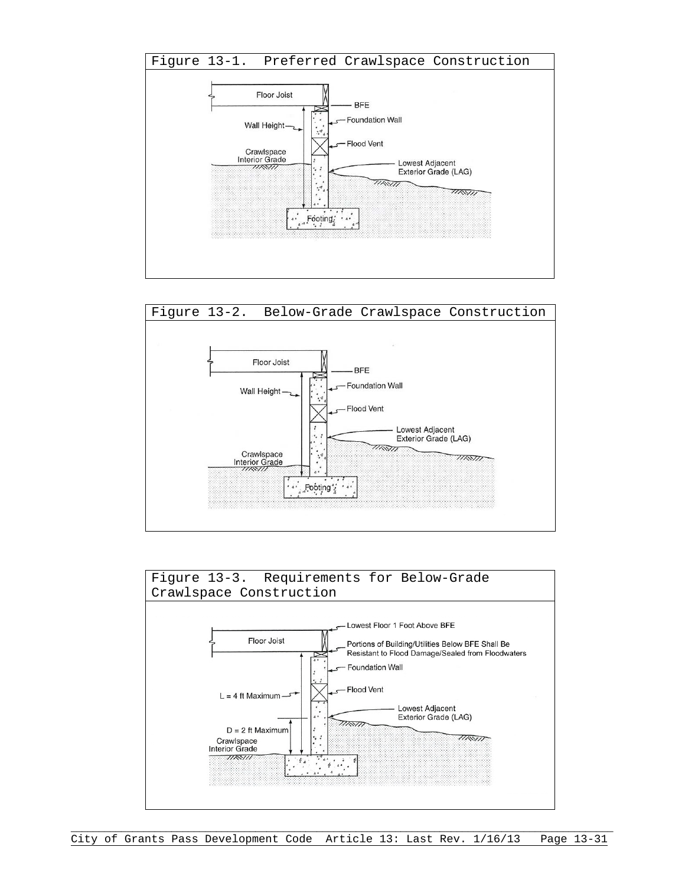





City of Grants Pass Development Code Article 13: Last Rev. 1/16/13 Page 13-31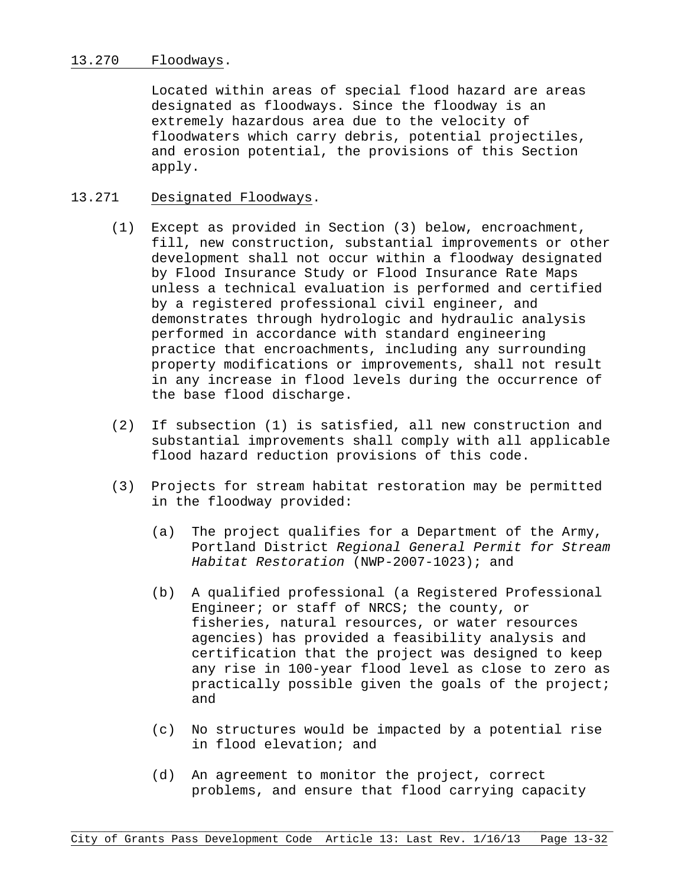Located within areas of special flood hazard are areas designated as floodways. Since the floodway is an extremely hazardous area due to the velocity of floodwaters which carry debris, potential projectiles, and erosion potential, the provisions of this Section apply.

- 13.271 Designated Floodways.
	- (1) Except as provided in Section (3) below, encroachment, fill, new construction, substantial improvements or other development shall not occur within a floodway designated by Flood Insurance Study or Flood Insurance Rate Maps unless a technical evaluation is performed and certified by a registered professional civil engineer, and demonstrates through hydrologic and hydraulic analysis performed in accordance with standard engineering practice that encroachments, including any surrounding property modifications or improvements, shall not result in any increase in flood levels during the occurrence of the base flood discharge.
	- (2) If subsection (1) is satisfied, all new construction and substantial improvements shall comply with all applicable flood hazard reduction provisions of this code.
	- (3) Projects for stream habitat restoration may be permitted in the floodway provided:
		- (a) The project qualifies for a Department of the Army, Portland District *Regional General Permit for Stream Habitat Restoration* (NWP-2007-1023); and
		- (b) A qualified professional (a Registered Professional Engineer; or staff of NRCS; the county, or fisheries, natural resources, or water resources agencies) has provided a feasibility analysis and certification that the project was designed to keep any rise in 100-year flood level as close to zero as practically possible given the goals of the project; and
		- (c) No structures would be impacted by a potential rise in flood elevation; and
		- (d) An agreement to monitor the project, correct problems, and ensure that flood carrying capacity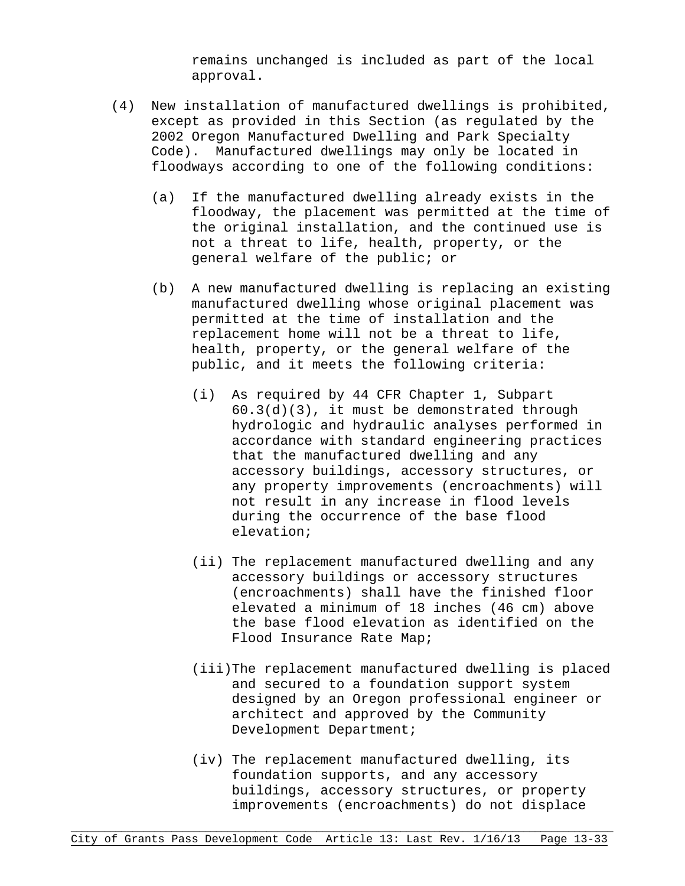remains unchanged is included as part of the local approval.

- (4) New installation of manufactured dwellings is prohibited, except as provided in this Section (as regulated by the 2002 Oregon Manufactured Dwelling and Park Specialty Code). Manufactured dwellings may only be located in floodways according to one of the following conditions:
	- (a) If the manufactured dwelling already exists in the floodway, the placement was permitted at the time of the original installation, and the continued use is not a threat to life, health, property, or the general welfare of the public; or
	- (b) A new manufactured dwelling is replacing an existing manufactured dwelling whose original placement was permitted at the time of installation and the replacement home will not be a threat to life, health, property, or the general welfare of the public, and it meets the following criteria:
		- (i) As required by 44 CFR Chapter 1, Subpart 60.3(d)(3), it must be demonstrated through hydrologic and hydraulic analyses performed in accordance with standard engineering practices that the manufactured dwelling and any accessory buildings, accessory structures, or any property improvements (encroachments) will not result in any increase in flood levels during the occurrence of the base flood elevation;
		- (ii) The replacement manufactured dwelling and any accessory buildings or accessory structures (encroachments) shall have the finished floor elevated a minimum of 18 inches (46 cm) above the base flood elevation as identified on the Flood Insurance Rate Map;
		- (iii)The replacement manufactured dwelling is placed and secured to a foundation support system designed by an Oregon professional engineer or architect and approved by the Community Development Department;
		- (iv) The replacement manufactured dwelling, its foundation supports, and any accessory buildings, accessory structures, or property improvements (encroachments) do not displace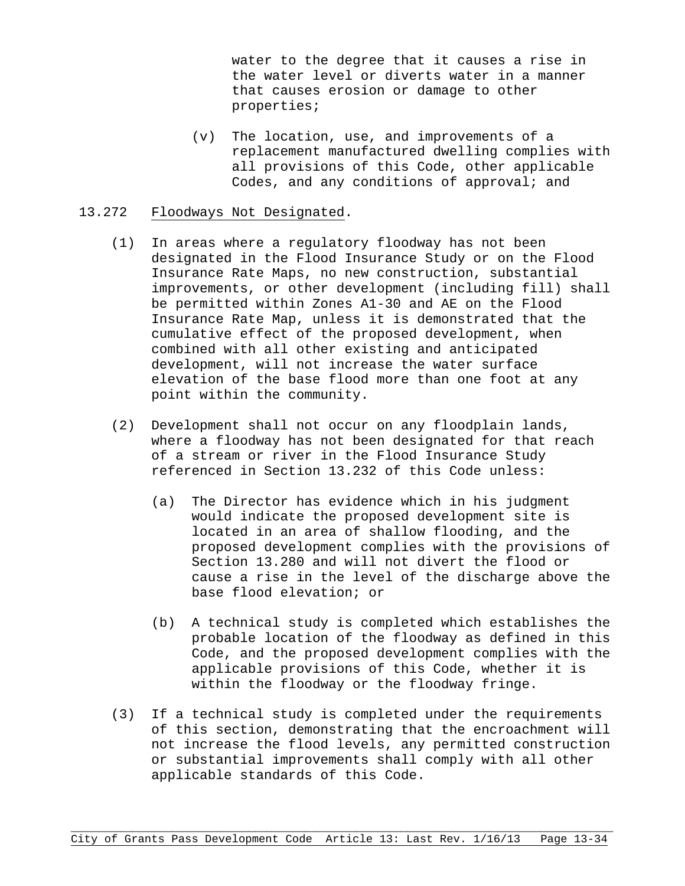water to the degree that it causes a rise in the water level or diverts water in a manner that causes erosion or damage to other properties;

(v) The location, use, and improvements of a replacement manufactured dwelling complies with all provisions of this Code, other applicable Codes, and any conditions of approval; and

#### 13.272 Floodways Not Designated.

- (1) In areas where a regulatory floodway has not been designated in the Flood Insurance Study or on the Flood Insurance Rate Maps, no new construction, substantial improvements, or other development (including fill) shall be permitted within Zones A1-30 and AE on the Flood Insurance Rate Map, unless it is demonstrated that the cumulative effect of the proposed development, when combined with all other existing and anticipated development, will not increase the water surface elevation of the base flood more than one foot at any point within the community.
- (2) Development shall not occur on any floodplain lands, where a floodway has not been designated for that reach of a stream or river in the Flood Insurance Study referenced in Section 13.232 of this Code unless:
	- (a) The Director has evidence which in his judgment would indicate the proposed development site is located in an area of shallow flooding, and the proposed development complies with the provisions of Section 13.280 and will not divert the flood or cause a rise in the level of the discharge above the base flood elevation; or
	- (b) A technical study is completed which establishes the probable location of the floodway as defined in this Code, and the proposed development complies with the applicable provisions of this Code, whether it is within the floodway or the floodway fringe.
- (3) If a technical study is completed under the requirements of this section, demonstrating that the encroachment will not increase the flood levels, any permitted construction or substantial improvements shall comply with all other applicable standards of this Code.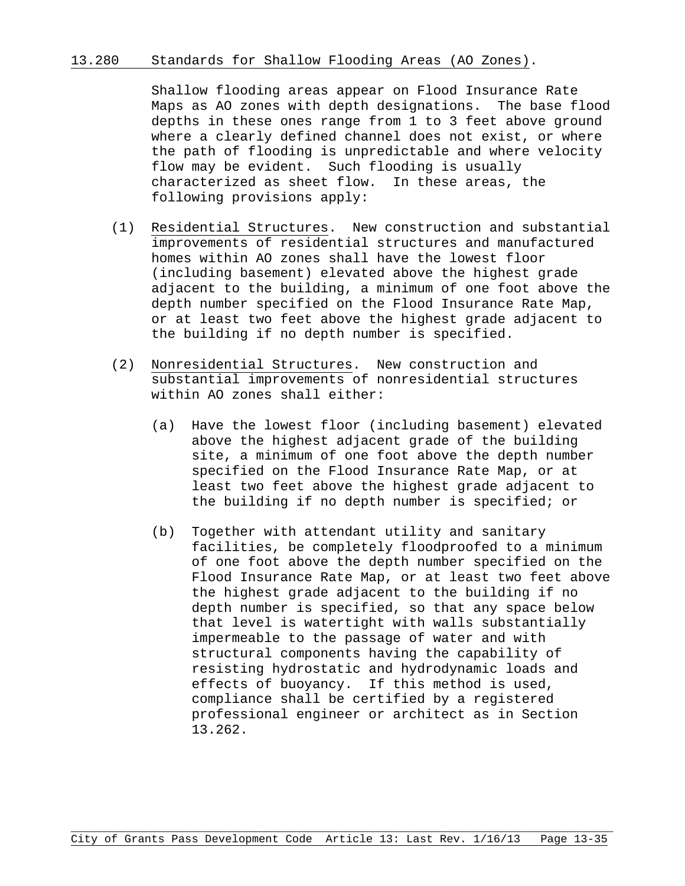#### 13.280 Standards for Shallow Flooding Areas (AO Zones).

Shallow flooding areas appear on Flood Insurance Rate Maps as AO zones with depth designations. The base flood depths in these ones range from 1 to 3 feet above ground where a clearly defined channel does not exist, or where the path of flooding is unpredictable and where velocity flow may be evident. Such flooding is usually characterized as sheet flow. In these areas, the following provisions apply:

- (1) Residential Structures. New construction and substantial improvements of residential structures and manufactured homes within AO zones shall have the lowest floor (including basement) elevated above the highest grade adjacent to the building, a minimum of one foot above the depth number specified on the Flood Insurance Rate Map, or at least two feet above the highest grade adjacent to the building if no depth number is specified.
- (2) Nonresidential Structures. New construction and substantial improvements of nonresidential structures within AO zones shall either:
	- (a) Have the lowest floor (including basement) elevated above the highest adjacent grade of the building site, a minimum of one foot above the depth number specified on the Flood Insurance Rate Map, or at least two feet above the highest grade adjacent to the building if no depth number is specified; or
	- (b) Together with attendant utility and sanitary facilities, be completely floodproofed to a minimum of one foot above the depth number specified on the Flood Insurance Rate Map, or at least two feet above the highest grade adjacent to the building if no depth number is specified, so that any space below that level is watertight with walls substantially impermeable to the passage of water and with structural components having the capability of resisting hydrostatic and hydrodynamic loads and effects of buoyancy. If this method is used, compliance shall be certified by a registered professional engineer or architect as in Section 13.262.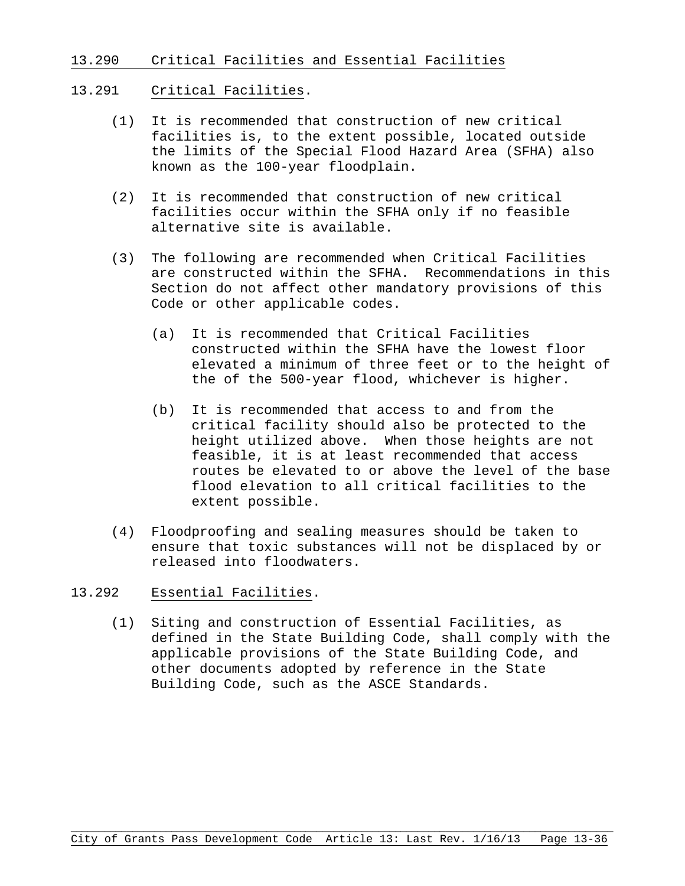#### 13.290 Critical Facilities and Essential Facilities

- 13.291 Critical Facilities.
	- (1) It is recommended that construction of new critical facilities is, to the extent possible, located outside the limits of the Special Flood Hazard Area (SFHA) also known as the 100-year floodplain.
	- (2) It is recommended that construction of new critical facilities occur within the SFHA only if no feasible alternative site is available.
	- (3) The following are recommended when Critical Facilities are constructed within the SFHA. Recommendations in this Section do not affect other mandatory provisions of this Code or other applicable codes.
		- (a) It is recommended that Critical Facilities constructed within the SFHA have the lowest floor elevated a minimum of three feet or to the height of the of the 500-year flood, whichever is higher.
		- (b) It is recommended that access to and from the critical facility should also be protected to the height utilized above. When those heights are not feasible, it is at least recommended that access routes be elevated to or above the level of the base flood elevation to all critical facilities to the extent possible.
	- (4) Floodproofing and sealing measures should be taken to ensure that toxic substances will not be displaced by or released into floodwaters.
- 13.292 Essential Facilities.
	- (1) Siting and construction of Essential Facilities, as defined in the State Building Code, shall comply with the applicable provisions of the State Building Code, and other documents adopted by reference in the State Building Code, such as the ASCE Standards.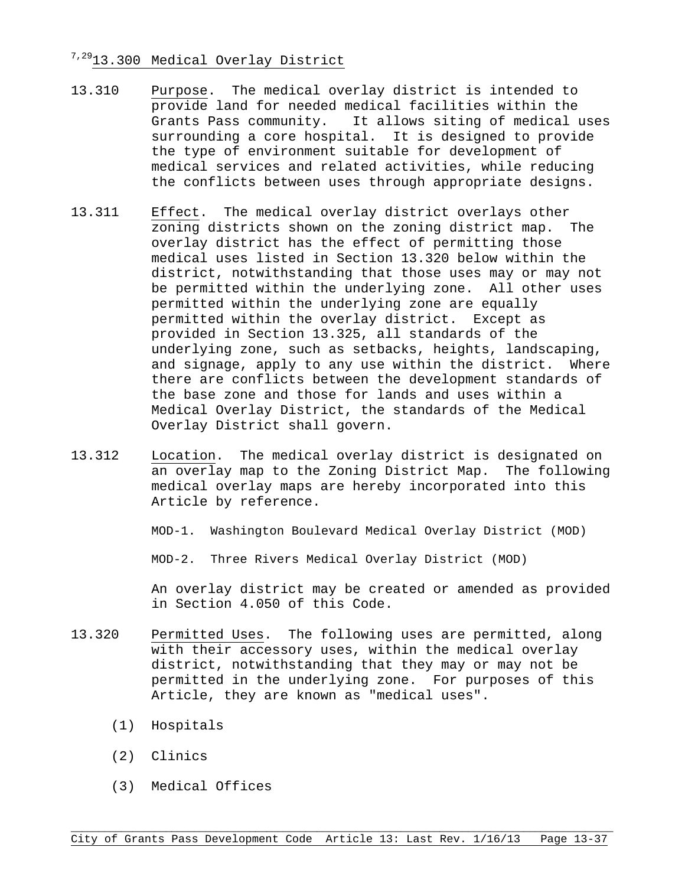# 7,2913.300 Medical Overlay District

- 13.310 Purpose. The medical overlay district is intended to provide land for needed medical facilities within the Grants Pass community. It allows siting of medical uses surrounding a core hospital. It is designed to provide the type of environment suitable for development of medical services and related activities, while reducing the conflicts between uses through appropriate designs.
- 13.311 Effect. The medical overlay district overlays other zoning districts shown on the zoning district map. The overlay district has the effect of permitting those medical uses listed in Section 13.320 below within the district, notwithstanding that those uses may or may not be permitted within the underlying zone. All other uses permitted within the underlying zone are equally permitted within the overlay district. Except as provided in Section 13.325, all standards of the underlying zone, such as setbacks, heights, landscaping, and signage, apply to any use within the district. Where there are conflicts between the development standards of the base zone and those for lands and uses within a Medical Overlay District, the standards of the Medical Overlay District shall govern.
- 13.312 Location. The medical overlay district is designated on an overlay map to the Zoning District Map. The following medical overlay maps are hereby incorporated into this Article by reference.

MOD-1. Washington Boulevard Medical Overlay District (MOD)

MOD-2. Three Rivers Medical Overlay District (MOD)

An overlay district may be created or amended as provided in Section 4.050 of this Code.

- 13.320 Permitted Uses. The following uses are permitted, along with their accessory uses, within the medical overlay district, notwithstanding that they may or may not be permitted in the underlying zone. For purposes of this Article, they are known as "medical uses".
	- (1) Hospitals
	- (2) Clinics
	- (3) Medical Offices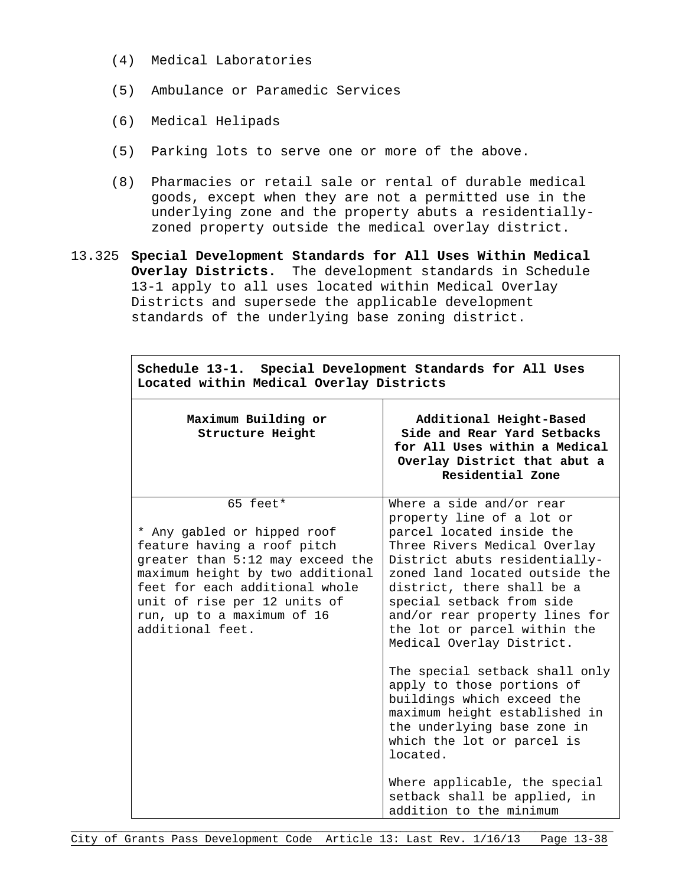- (4) Medical Laboratories
- (5) Ambulance or Paramedic Services
- (6) Medical Helipads
- (5) Parking lots to serve one or more of the above.
- (8) Pharmacies or retail sale or rental of durable medical goods, except when they are not a permitted use in the underlying zone and the property abuts a residentiallyzoned property outside the medical overlay district.
- 13.325 **Special Development Standards for All Uses Within Medical Overlay Districts.** The development standards in Schedule 13-1 apply to all uses located within Medical Overlay Districts and supersede the applicable development standards of the underlying base zoning district.

| Maximum Building or<br>Structure Height                                                                                                                                                                                                                            | Additional Height-Based<br>Side and Rear Yard Setbacks<br>for All Uses within a Medical<br>Overlay District that abut a<br>Residential Zone                                                                                                                                                                                                                                                                                                                                                                                                                                                                                                         |
|--------------------------------------------------------------------------------------------------------------------------------------------------------------------------------------------------------------------------------------------------------------------|-----------------------------------------------------------------------------------------------------------------------------------------------------------------------------------------------------------------------------------------------------------------------------------------------------------------------------------------------------------------------------------------------------------------------------------------------------------------------------------------------------------------------------------------------------------------------------------------------------------------------------------------------------|
| 65 feet*<br>* Any gabled or hipped roof<br>feature having a roof pitch<br>greater than 5:12 may exceed the<br>maximum height by two additional<br>feet for each additional whole<br>unit of rise per 12 units of<br>run, up to a maximum of 16<br>additional feet. | Where a side and/or rear<br>property line of a lot or<br>parcel located inside the<br>Three Rivers Medical Overlay<br>District abuts residentially-<br>zoned land located outside the<br>district, there shall be a<br>special setback from side<br>and/or rear property lines for<br>the lot or parcel within the<br>Medical Overlay District.<br>The special setback shall only<br>apply to those portions of<br>buildings which exceed the<br>maximum height established in<br>the underlying base zone in<br>which the lot or parcel is<br>located.<br>Where applicable, the special<br>setback shall be applied, in<br>addition to the minimum |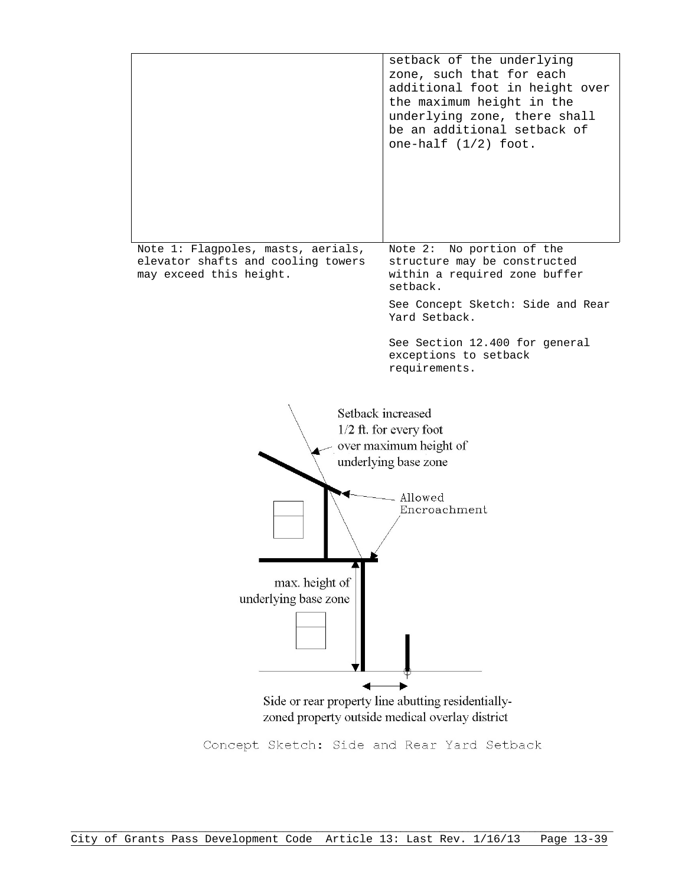

Concept Sketch: Side and Rear Yard Setback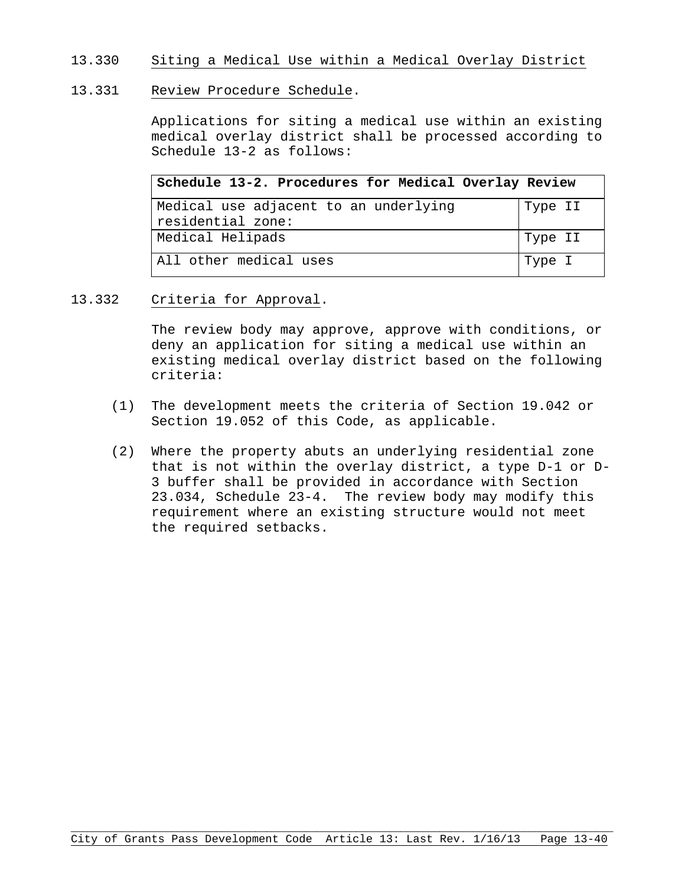#### 13.330 Siting a Medical Use within a Medical Overlay District

13.331 Review Procedure Schedule.

Applications for siting a medical use within an existing medical overlay district shall be processed according to Schedule 13-2 as follows:

| Schedule 13-2. Procedures for Medical Overlay Review |         |  |  |  |
|------------------------------------------------------|---------|--|--|--|
| Medical use adjacent to an underlying                | Type II |  |  |  |
| residential zone:                                    |         |  |  |  |
| Medical Helipads                                     | Type II |  |  |  |
| All other medical uses                               | Type I  |  |  |  |

13.332 Criteria for Approval.

The review body may approve, approve with conditions, or deny an application for siting a medical use within an existing medical overlay district based on the following criteria:

- (1) The development meets the criteria of Section 19.042 or Section 19.052 of this Code, as applicable.
- (2) Where the property abuts an underlying residential zone that is not within the overlay district, a type D-1 or D-3 buffer shall be provided in accordance with Section 23.034, Schedule 23-4. The review body may modify this requirement where an existing structure would not meet the required setbacks.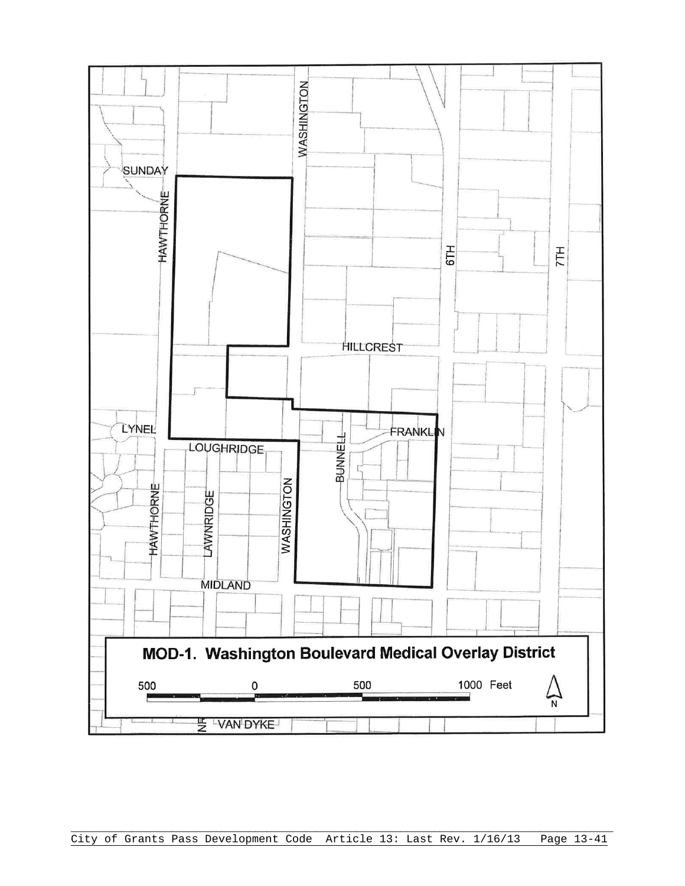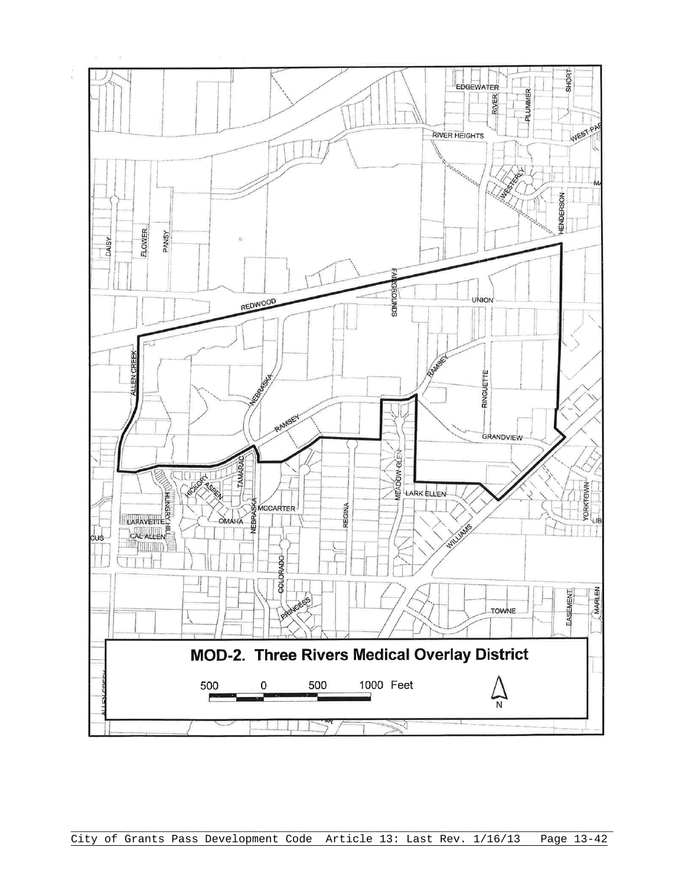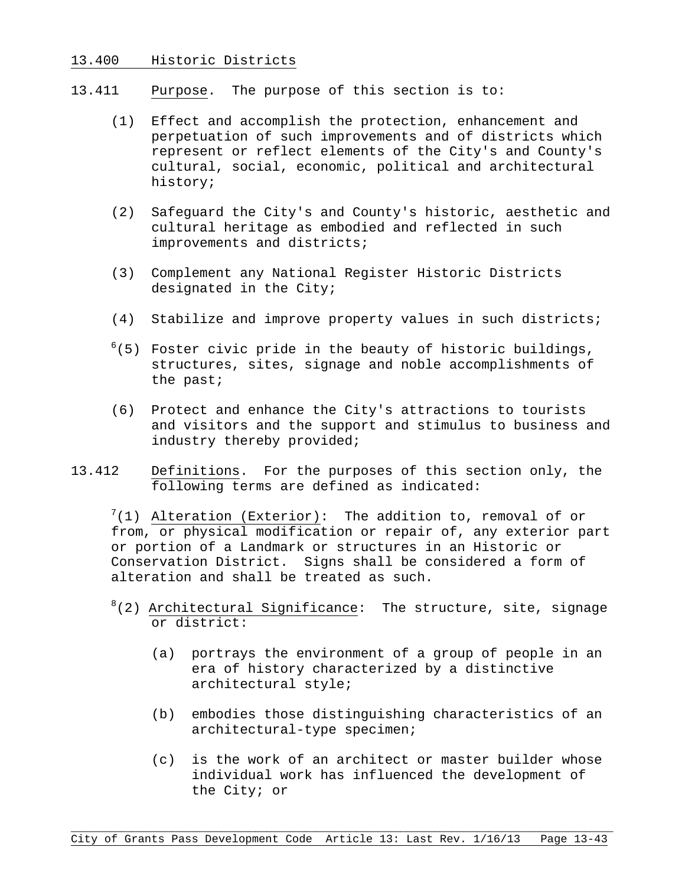#### 13.400 Historic Districts

- 13.411 Purpose. The purpose of this section is to:
	- (1) Effect and accomplish the protection, enhancement and perpetuation of such improvements and of districts which represent or reflect elements of the City's and County's cultural, social, economic, political and architectural history;
	- (2) Safeguard the City's and County's historic, aesthetic and cultural heritage as embodied and reflected in such improvements and districts;
	- (3) Complement any National Register Historic Districts designated in the City;
	- (4) Stabilize and improve property values in such districts;
	- $(5)$  Foster civic pride in the beauty of historic buildings, structures, sites, signage and noble accomplishments of the past;
	- (6) Protect and enhance the City's attractions to tourists and visitors and the support and stimulus to business and industry thereby provided;
- 13.412 Definitions. For the purposes of this section only, the following terms are defined as indicated:

 $7(1)$  Alteration (Exterior): The addition to, removal of or from, or physical modification or repair of, any exterior part or portion of a Landmark or structures in an Historic or Conservation District. Signs shall be considered a form of alteration and shall be treated as such.

- $(2)$  Architectural Significance: The structure, site, signage or district:
	- (a) portrays the environment of a group of people in an era of history characterized by a distinctive architectural style;
	- (b) embodies those distinguishing characteristics of an architectural-type specimen;
	- (c) is the work of an architect or master builder whose individual work has influenced the development of the City; or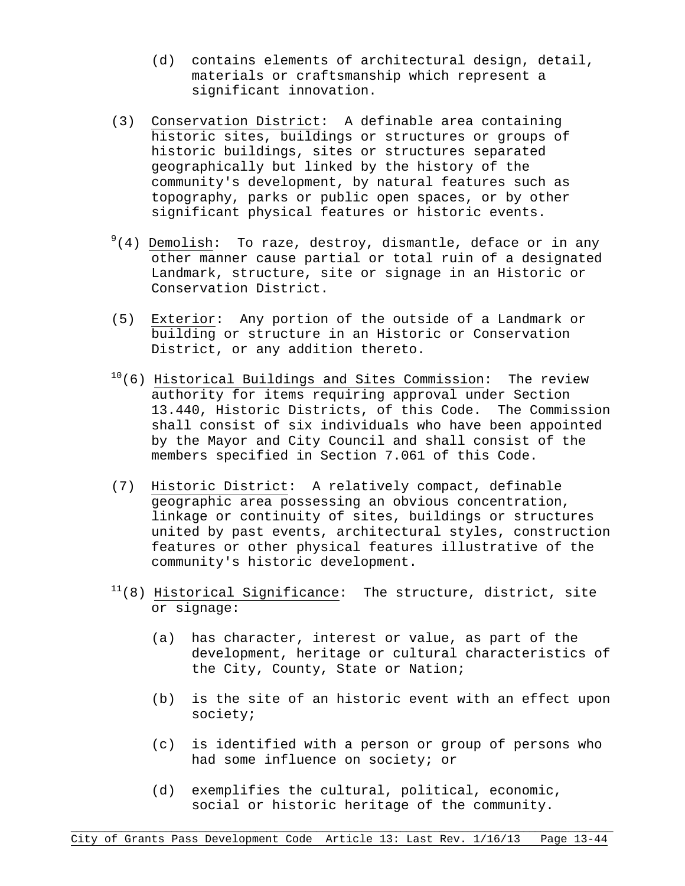- (d) contains elements of architectural design, detail, materials or craftsmanship which represent a significant innovation.
- (3) Conservation District: A definable area containing historic sites, buildings or structures or groups of historic buildings, sites or structures separated geographically but linked by the history of the community's development, by natural features such as topography, parks or public open spaces, or by other significant physical features or historic events.
- <sup>9</sup>(4) Demolish: To raze, destroy, dismantle, deface or in any other manner cause partial or total ruin of a designated Landmark, structure, site or signage in an Historic or Conservation District.
- (5) Exterior: Any portion of the outside of a Landmark or building or structure in an Historic or Conservation District, or any addition thereto.
- $10(6)$  Historical Buildings and Sites Commission: The review authority for items requiring approval under Section 13.440, Historic Districts, of this Code. The Commission shall consist of six individuals who have been appointed by the Mayor and City Council and shall consist of the members specified in Section 7.061 of this Code.
- (7) Historic District: A relatively compact, definable geographic area possessing an obvious concentration, linkage or continuity of sites, buildings or structures united by past events, architectural styles, construction features or other physical features illustrative of the community's historic development.
- $11(8)$  Historical Significance: The structure, district, site or signage:
	- (a) has character, interest or value, as part of the development, heritage or cultural characteristics of the City, County, State or Nation;
	- (b) is the site of an historic event with an effect upon society;
	- (c) is identified with a person or group of persons who had some influence on society; or
	- (d) exemplifies the cultural, political, economic, social or historic heritage of the community.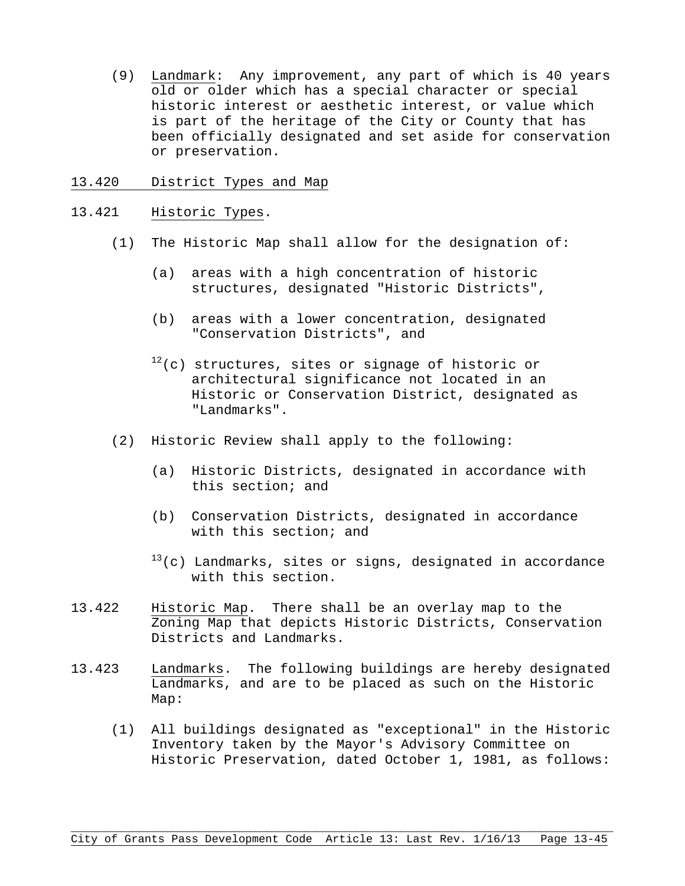- (9) Landmark: Any improvement, any part of which is 40 years old or older which has a special character or special historic interest or aesthetic interest, or value which is part of the heritage of the City or County that has been officially designated and set aside for conservation or preservation.
- 13.420 District Types and Map
- 13.421 Historic Types.
	- (1) The Historic Map shall allow for the designation of:
		- (a) areas with a high concentration of historic structures, designated "Historic Districts",
		- (b) areas with a lower concentration, designated "Conservation Districts", and
		- $12(c)$  structures, sites or signage of historic or architectural significance not located in an Historic or Conservation District, designated as "Landmarks".
	- (2) Historic Review shall apply to the following:
		- (a) Historic Districts, designated in accordance with this section; and
		- (b) Conservation Districts, designated in accordance with this section; and
		- $13(c)$  Landmarks, sites or signs, designated in accordance with this section.
- 13.422 Historic Map. There shall be an overlay map to the Zoning Map that depicts Historic Districts, Conservation Districts and Landmarks.
- 13.423 Landmarks. The following buildings are hereby designated Landmarks, and are to be placed as such on the Historic Map:
	- (1) All buildings designated as "exceptional" in the Historic Inventory taken by the Mayor's Advisory Committee on Historic Preservation, dated October 1, 1981, as follows: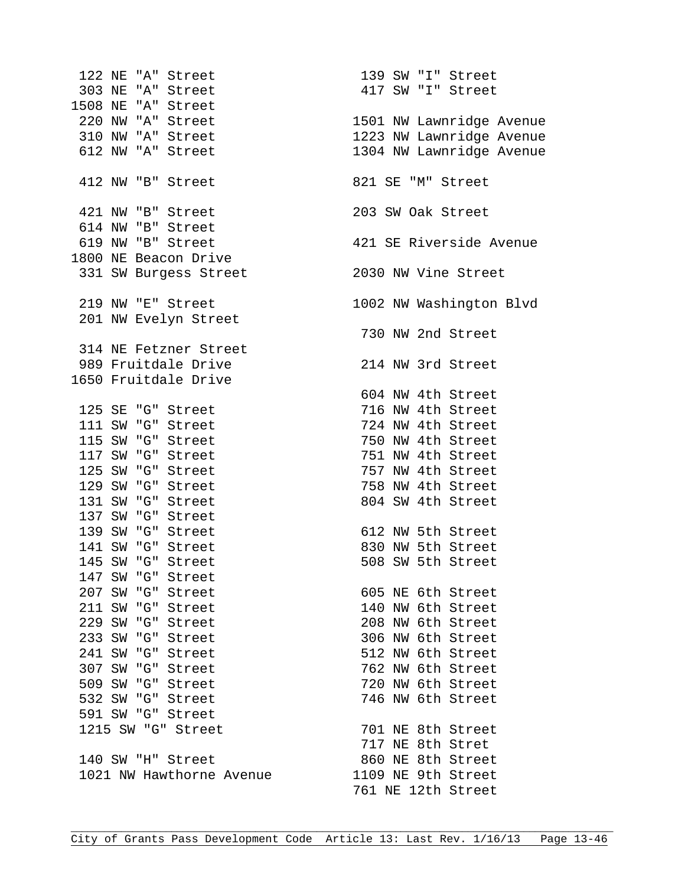122 NE "A" Street 139 SW "I" Street 303 NE "A" Street 417 SW "I" Street 1508 NE "A" Street 220 NW "A" Street 1501 NW Lawnridge Avenue 310 NW "A" Street 1223 NW Lawnridge Avenue 412 NW "B" Street 821 SE "M" Street 421 NW "B" Street 203 SW Oak Street 614 NW "B" Street 1800 NE Beacon Drive 331 SW Burgess Street 2030 NW Vine Street 201 NW Evelyn Street 314 NE Fetzner Street 989 Fruitdale Drive 214 NW 3rd Street 1650 Fruitdale Drive 125 SE "G" Street 716 NW 4th Street 111 SW "G" Street 724 NW 4th Street 115 SW "G" Street 750 NW 4th Street 117 SW "G" Street 751 NW 4th Street 125 SW "G" Street 125 SW 4th Street 129 SW "G" Street 758 NW 4th Street 131 SW "G" Street 804 SW 4th Street 137 SW "G" Street 139 SW "G" Street 612 NW 5th Street 612 AW 5th Street 141 SW "G" Street 145 SW "G" Street 508 SW 5th Street 147 SW "G" Street 207 SW "G" Street 605 NE 6th Street 211 SW "G" Street 140 NW 6th Street 229 SW "G" Street 208 NW 6th Street 233 SW "G" Street 306 NW 6th Street 241 SW "G" Street 512 NW 6th Street 307 SW "G" Street 762 NW 6th Street 509 SW "G" Street 720 NW 6th Street 532 SW "G" Street 746 NW 6th Street 591 SW "G" Street 1215 SW "G" Street 701 NE 8th Street 140 SW "H" Street 600 NE 8th Street 1021 NW Hawthorne Avenue 1109 NE 9th Street

 612 NW "A" Street 1304 NW Lawnridge Avenue 619 NW "B" Street 421 SE Riverside Avenue 219 NW "E" Street 1002 NW Washington Blvd 730 NW 2nd Street 604 NW 4th Street 717 NE 8th Stret 761 NE 12th Street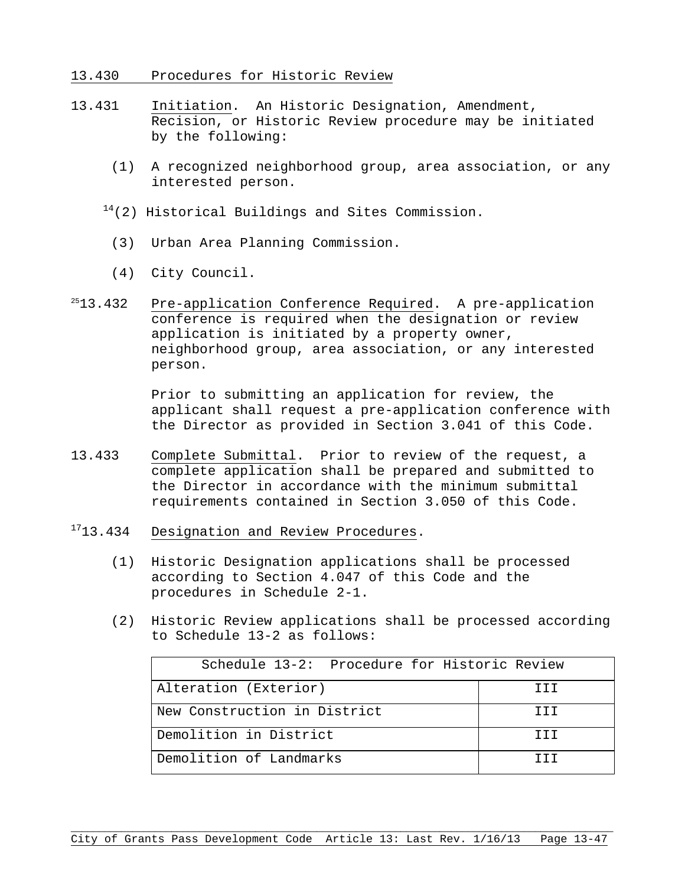#### 13.430 Procedures for Historic Review

- 13.431 Initiation. An Historic Designation, Amendment, Recision, or Historic Review procedure may be initiated by the following:
	- (1) A recognized neighborhood group, area association, or any interested person.
	- $14(2)$  Historical Buildings and Sites Commission.
		- (3) Urban Area Planning Commission.
		- (4) City Council.
- 2513.432 Pre-application Conference Required. A pre-application conference is required when the designation or review application is initiated by a property owner, neighborhood group, area association, or any interested person.

 Prior to submitting an application for review, the applicant shall request a pre-application conference with the Director as provided in Section 3.041 of this Code.

- 13.433 Complete Submittal. Prior to review of the request, a complete application shall be prepared and submitted to the Director in accordance with the minimum submittal requirements contained in Section 3.050 of this Code.
- $1713.434$  Designation and Review Procedures.
	- (1) Historic Designation applications shall be processed according to Section 4.047 of this Code and the procedures in Schedule 2-1.
	- (2) Historic Review applications shall be processed according to Schedule 13-2 as follows:

| Schedule 13-2: Procedure for Historic Review |     |
|----------------------------------------------|-----|
| Alteration (Exterior)                        | TTT |
| New Construction in District                 | TTT |
| Demolition in District                       | TTT |
| Demolition of Landmarks                      |     |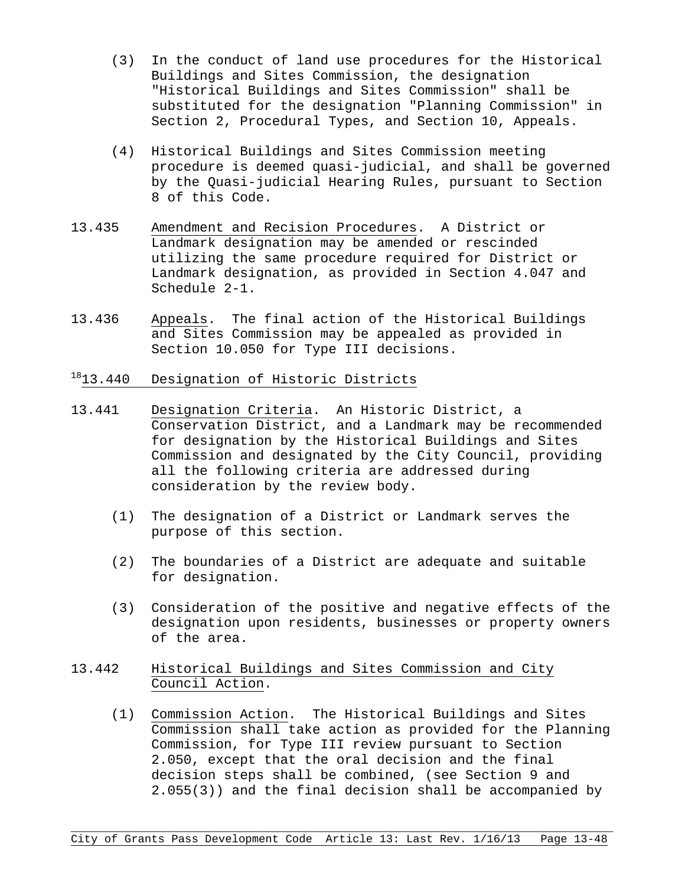- (3) In the conduct of land use procedures for the Historical Buildings and Sites Commission, the designation "Historical Buildings and Sites Commission" shall be substituted for the designation "Planning Commission" in Section 2, Procedural Types, and Section 10, Appeals.
- (4) Historical Buildings and Sites Commission meeting procedure is deemed quasi-judicial, and shall be governed by the Quasi-judicial Hearing Rules, pursuant to Section 8 of this Code.
- 13.435 Amendment and Recision Procedures. A District or Landmark designation may be amended or rescinded utilizing the same procedure required for District or Landmark designation, as provided in Section 4.047 and Schedule 2-1.
- 13.436 Appeals. The final action of the Historical Buildings and Sites Commission may be appealed as provided in Section 10.050 for Type III decisions.
- <sup>18</sup>13.440 Designation of Historic Districts
- 13.441 Designation Criteria. An Historic District, a Conservation District, and a Landmark may be recommended for designation by the Historical Buildings and Sites Commission and designated by the City Council, providing all the following criteria are addressed during consideration by the review body.
	- (1) The designation of a District or Landmark serves the purpose of this section.
	- (2) The boundaries of a District are adequate and suitable for designation.
	- (3) Consideration of the positive and negative effects of the designation upon residents, businesses or property owners of the area.
- 13.442 Historical Buildings and Sites Commission and City Council Action.
	- (1) Commission Action. The Historical Buildings and Sites Commission shall take action as provided for the Planning Commission, for Type III review pursuant to Section 2.050, except that the oral decision and the final decision steps shall be combined, (see Section 9 and 2.055(3)) and the final decision shall be accompanied by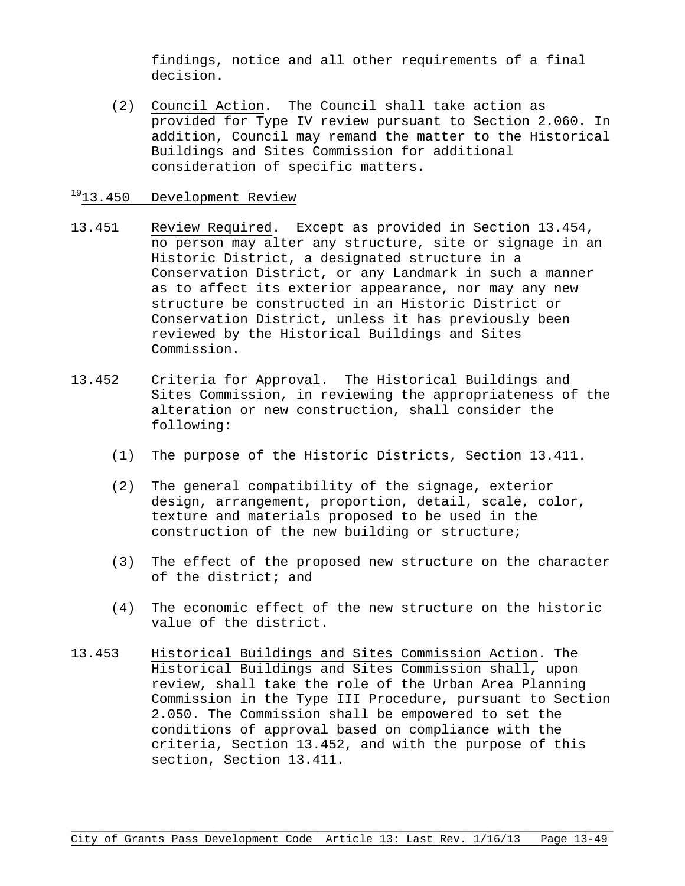findings, notice and all other requirements of a final decision.

(2) Council Action. The Council shall take action as provided for Type IV review pursuant to Section 2.060. In addition, Council may remand the matter to the Historical Buildings and Sites Commission for additional consideration of specific matters.

# <sup>19</sup>13.450 Development Review

- 13.451 Review Required. Except as provided in Section 13.454, no person may alter any structure, site or signage in an Historic District, a designated structure in a Conservation District, or any Landmark in such a manner as to affect its exterior appearance, nor may any new structure be constructed in an Historic District or Conservation District, unless it has previously been reviewed by the Historical Buildings and Sites Commission.
- 13.452 Criteria for Approval. The Historical Buildings and Sites Commission, in reviewing the appropriateness of the alteration or new construction, shall consider the following:
	- (1) The purpose of the Historic Districts, Section 13.411.
	- (2) The general compatibility of the signage, exterior design, arrangement, proportion, detail, scale, color, texture and materials proposed to be used in the construction of the new building or structure;
	- (3) The effect of the proposed new structure on the character of the district; and
	- (4) The economic effect of the new structure on the historic value of the district.
- 13.453 Historical Buildings and Sites Commission Action. The Historical Buildings and Sites Commission shall, upon review, shall take the role of the Urban Area Planning Commission in the Type III Procedure, pursuant to Section 2.050. The Commission shall be empowered to set the conditions of approval based on compliance with the criteria, Section 13.452, and with the purpose of this section, Section 13.411.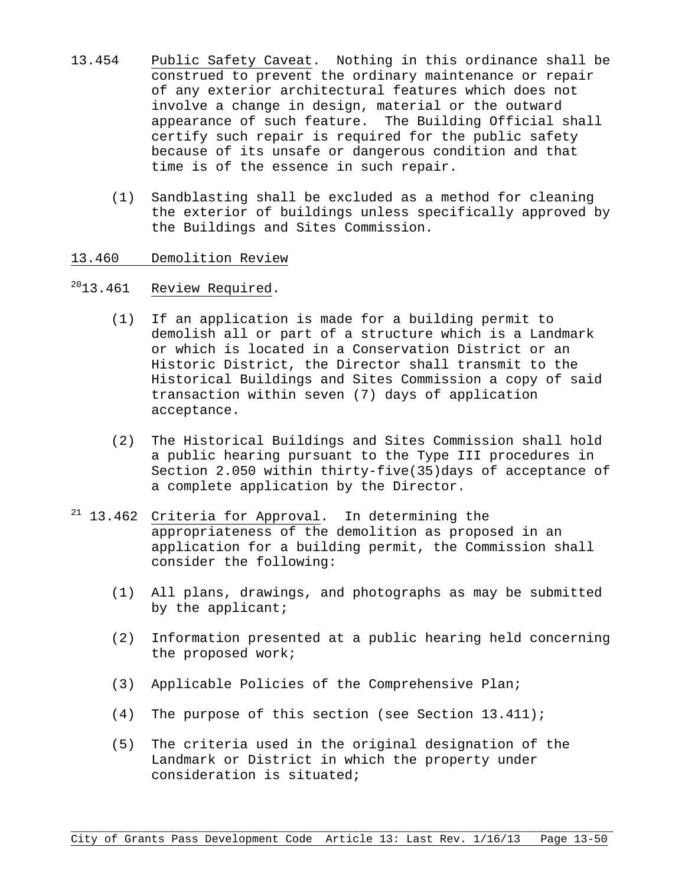- 13.454 Public Safety Caveat. Nothing in this ordinance shall be construed to prevent the ordinary maintenance or repair of any exterior architectural features which does not involve a change in design, material or the outward appearance of such feature. The Building Official shall certify such repair is required for the public safety because of its unsafe or dangerous condition and that time is of the essence in such repair.
	- (1) Sandblasting shall be excluded as a method for cleaning the exterior of buildings unless specifically approved by the Buildings and Sites Commission.
- 13.460 Demolition Review
- <sup>20</sup>13.461 Review Required.
	- (1) If an application is made for a building permit to demolish all or part of a structure which is a Landmark or which is located in a Conservation District or an Historic District, the Director shall transmit to the Historical Buildings and Sites Commission a copy of said transaction within seven (7) days of application acceptance.
	- (2) The Historical Buildings and Sites Commission shall hold a public hearing pursuant to the Type III procedures in Section 2.050 within thirty-five(35)days of acceptance of a complete application by the Director.
- $21$  13.462 Criteria for Approval. In determining the appropriateness of the demolition as proposed in an application for a building permit, the Commission shall consider the following:
	- (1) All plans, drawings, and photographs as may be submitted by the applicant;
	- (2) Information presented at a public hearing held concerning the proposed work;
	- (3) Applicable Policies of the Comprehensive Plan;
	- (4) The purpose of this section (see Section 13.411);
	- (5) The criteria used in the original designation of the Landmark or District in which the property under consideration is situated;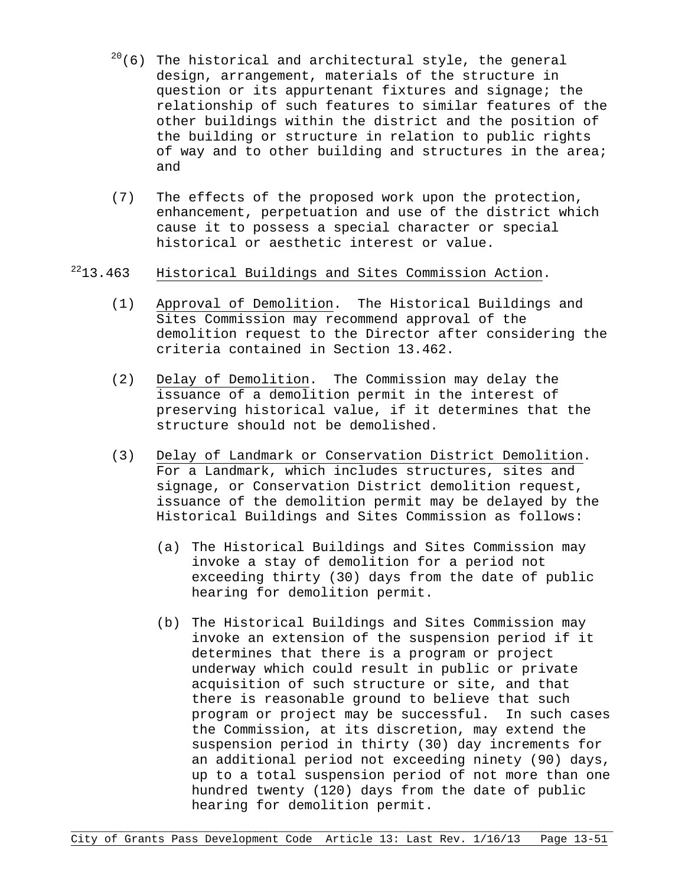- $20(6)$  The historical and architectural style, the general design, arrangement, materials of the structure in question or its appurtenant fixtures and signage; the relationship of such features to similar features of the other buildings within the district and the position of the building or structure in relation to public rights of way and to other building and structures in the area; and
- (7) The effects of the proposed work upon the protection, enhancement, perpetuation and use of the district which cause it to possess a special character or special historical or aesthetic interest or value.
- $2213.463$  Historical Buildings and Sites Commission Action.
	- (1) Approval of Demolition. The Historical Buildings and Sites Commission may recommend approval of the demolition request to the Director after considering the criteria contained in Section 13.462.
	- (2) Delay of Demolition. The Commission may delay the issuance of a demolition permit in the interest of preserving historical value, if it determines that the structure should not be demolished.
	- (3) Delay of Landmark or Conservation District Demolition. For a Landmark, which includes structures, sites and signage, or Conservation District demolition request, issuance of the demolition permit may be delayed by the Historical Buildings and Sites Commission as follows:
		- (a) The Historical Buildings and Sites Commission may invoke a stay of demolition for a period not exceeding thirty (30) days from the date of public hearing for demolition permit.
		- (b) The Historical Buildings and Sites Commission may invoke an extension of the suspension period if it determines that there is a program or project underway which could result in public or private acquisition of such structure or site, and that there is reasonable ground to believe that such program or project may be successful. In such cases the Commission, at its discretion, may extend the suspension period in thirty (30) day increments for an additional period not exceeding ninety (90) days, up to a total suspension period of not more than one hundred twenty (120) days from the date of public hearing for demolition permit.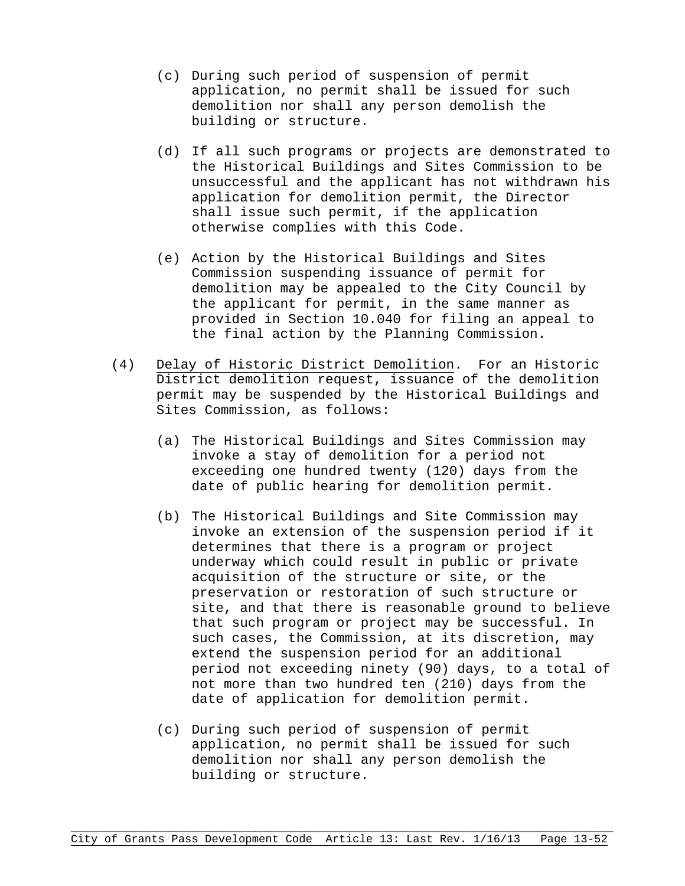- (c) During such period of suspension of permit application, no permit shall be issued for such demolition nor shall any person demolish the building or structure.
- (d) If all such programs or projects are demonstrated to the Historical Buildings and Sites Commission to be unsuccessful and the applicant has not withdrawn his application for demolition permit, the Director shall issue such permit, if the application otherwise complies with this Code.
- (e) Action by the Historical Buildings and Sites Commission suspending issuance of permit for demolition may be appealed to the City Council by the applicant for permit, in the same manner as provided in Section 10.040 for filing an appeal to the final action by the Planning Commission.
- (4) Delay of Historic District Demolition. For an Historic District demolition request, issuance of the demolition permit may be suspended by the Historical Buildings and Sites Commission, as follows:
	- (a) The Historical Buildings and Sites Commission may invoke a stay of demolition for a period not exceeding one hundred twenty (120) days from the date of public hearing for demolition permit.
	- (b) The Historical Buildings and Site Commission may invoke an extension of the suspension period if it determines that there is a program or project underway which could result in public or private acquisition of the structure or site, or the preservation or restoration of such structure or site, and that there is reasonable ground to believe that such program or project may be successful. In such cases, the Commission, at its discretion, may extend the suspension period for an additional period not exceeding ninety (90) days, to a total of not more than two hundred ten (210) days from the date of application for demolition permit.
	- (c) During such period of suspension of permit application, no permit shall be issued for such demolition nor shall any person demolish the building or structure.